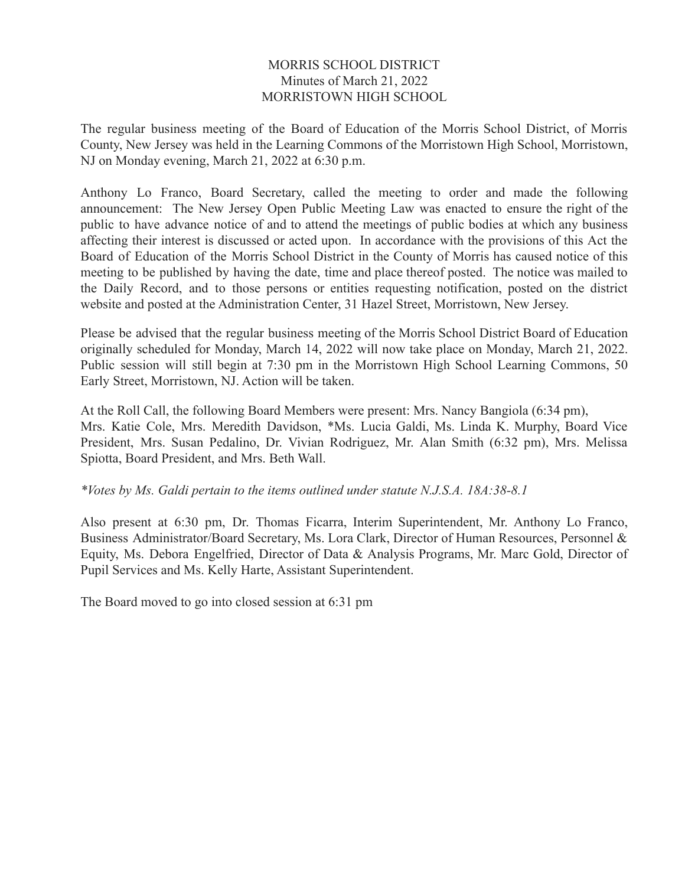### MORRIS SCHOOL DISTRICT Minutes of March 21, 2022 MORRISTOWN HIGH SCHOOL

The regular business meeting of the Board of Education of the Morris School District, of Morris County, New Jersey was held in the Learning Commons of the Morristown High School, Morristown, NJ on Monday evening, March 21, 2022 at 6:30 p.m.

Anthony Lo Franco, Board Secretary, called the meeting to order and made the following announcement: The New Jersey Open Public Meeting Law was enacted to ensure the right of the public to have advance notice of and to attend the meetings of public bodies at which any business affecting their interest is discussed or acted upon. In accordance with the provisions of this Act the Board of Education of the Morris School District in the County of Morris has caused notice of this meeting to be published by having the date, time and place thereof posted. The notice was mailed to the Daily Record, and to those persons or entities requesting notification, posted on the district website and posted at the Administration Center, 31 Hazel Street, Morristown, New Jersey.

Please be advised that the regular business meeting of the Morris School District Board of Education originally scheduled for Monday, March 14, 2022 will now take place on Monday, March 21, 2022. Public session will still begin at 7:30 pm in the Morristown High School Learning Commons, 50 Early Street, Morristown, NJ. Action will be taken.

At the Roll Call, the following Board Members were present: Mrs. Nancy Bangiola (6:34 pm), Mrs. Katie Cole, Mrs. Meredith Davidson, \*Ms. Lucia Galdi, Ms. Linda K. Murphy, Board Vice President, Mrs. Susan Pedalino, Dr. Vivian Rodriguez, Mr. Alan Smith (6:32 pm), Mrs. Melissa Spiotta, Board President, and Mrs. Beth Wall.

*\*Votes by Ms. Galdi pertain to the items outlined under statute N.J.S.A. 18A:38-8.1*

Also present at 6:30 pm, Dr. Thomas Ficarra, Interim Superintendent, Mr. Anthony Lo Franco, Business Administrator/Board Secretary, Ms. Lora Clark, Director of Human Resources, Personnel & Equity, Ms. Debora Engelfried, Director of Data & Analysis Programs, Mr. Marc Gold, Director of Pupil Services and Ms. Kelly Harte, Assistant Superintendent.

The Board moved to go into closed session at 6:31 pm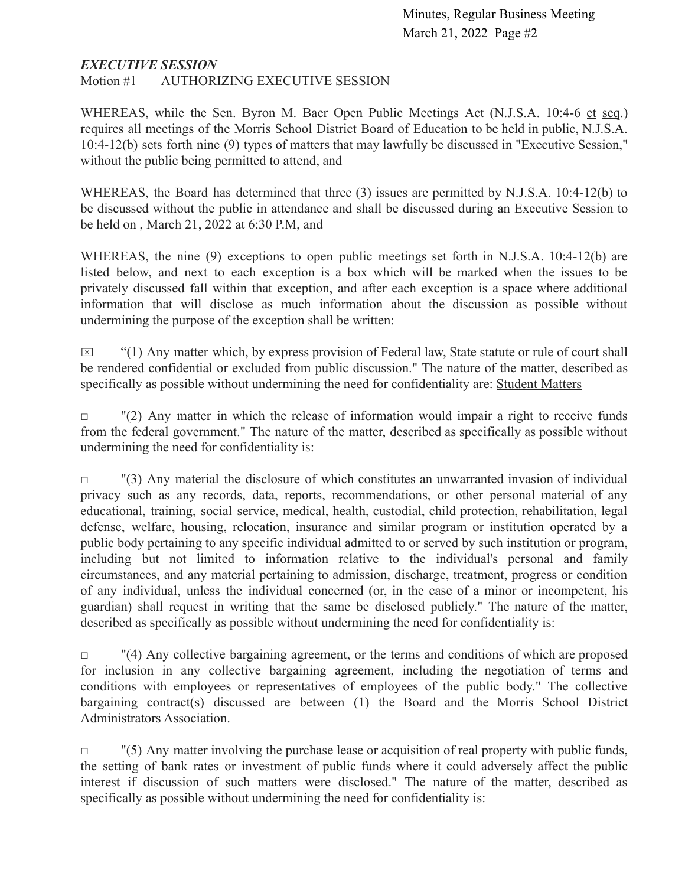### *EXECUTIVE SESSION*

Motion #1 AUTHORIZING EXECUTIVE SESSION

WHEREAS, while the Sen. Byron M. Baer Open Public Meetings Act (N.J.S.A. 10:4-6 et seq.) requires all meetings of the Morris School District Board of Education to be held in public, N.J.S.A. 10:4-12(b) sets forth nine (9) types of matters that may lawfully be discussed in "Executive Session," without the public being permitted to attend, and

WHEREAS, the Board has determined that three (3) issues are permitted by N.J.S.A. 10:4-12(b) to be discussed without the public in attendance and shall be discussed during an Executive Session to be held on , March 21, 2022 at 6:30 P.M, and

WHEREAS, the nine (9) exceptions to open public meetings set forth in N.J.S.A. 10:4-12(b) are listed below, and next to each exception is a box which will be marked when the issues to be privately discussed fall within that exception, and after each exception is a space where additional information that will disclose as much information about the discussion as possible without undermining the purpose of the exception shall be written:

 $\boxtimes$  "(1) Any matter which, by express provision of Federal law, State statute or rule of court shall be rendered confidential or excluded from public discussion." The nature of the matter, described as specifically as possible without undermining the need for confidentiality are: Student Matters

 $\Box$  "(2) Any matter in which the release of information would impair a right to receive funds from the federal government." The nature of the matter, described as specifically as possible without undermining the need for confidentiality is:

 $\Box$  "(3) Any material the disclosure of which constitutes an unwarranted invasion of individual privacy such as any records, data, reports, recommendations, or other personal material of any educational, training, social service, medical, health, custodial, child protection, rehabilitation, legal defense, welfare, housing, relocation, insurance and similar program or institution operated by a public body pertaining to any specific individual admitted to or served by such institution or program, including but not limited to information relative to the individual's personal and family circumstances, and any material pertaining to admission, discharge, treatment, progress or condition of any individual, unless the individual concerned (or, in the case of a minor or incompetent, his guardian) shall request in writing that the same be disclosed publicly." The nature of the matter, described as specifically as possible without undermining the need for confidentiality is:

 $\Box$  "(4) Any collective bargaining agreement, or the terms and conditions of which are proposed for inclusion in any collective bargaining agreement, including the negotiation of terms and conditions with employees or representatives of employees of the public body." The collective bargaining contract(s) discussed are between (1) the Board and the Morris School District Administrators Association.

 $\Box$  "(5) Any matter involving the purchase lease or acquisition of real property with public funds, the setting of bank rates or investment of public funds where it could adversely affect the public interest if discussion of such matters were disclosed." The nature of the matter, described as specifically as possible without undermining the need for confidentiality is: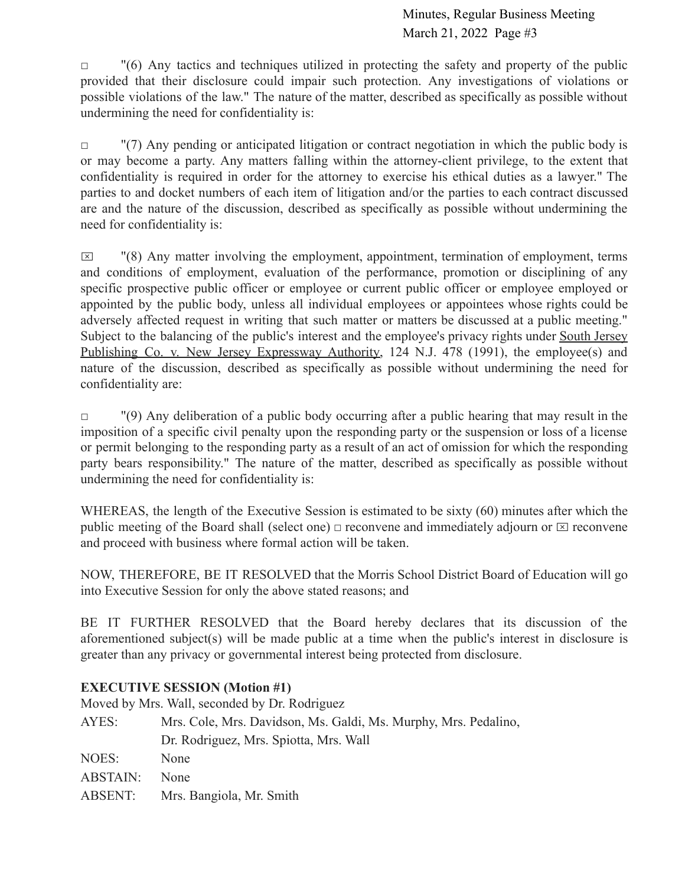$\Box$  "(6) Any tactics and techniques utilized in protecting the safety and property of the public provided that their disclosure could impair such protection. Any investigations of violations or possible violations of the law." The nature of the matter, described as specifically as possible without undermining the need for confidentiality is:

□ "(7) Any pending or anticipated litigation or contract negotiation in which the public body is or may become a party. Any matters falling within the attorney-client privilege, to the extent that confidentiality is required in order for the attorney to exercise his ethical duties as a lawyer." The parties to and docket numbers of each item of litigation and/or the parties to each contract discussed are and the nature of the discussion, described as specifically as possible without undermining the need for confidentiality is:

 $\boxtimes$  "(8) Any matter involving the employment, appointment, termination of employment, terms and conditions of employment, evaluation of the performance, promotion or disciplining of any specific prospective public officer or employee or current public officer or employee employed or appointed by the public body, unless all individual employees or appointees whose rights could be adversely affected request in writing that such matter or matters be discussed at a public meeting." Subject to the balancing of the public's interest and the employee's privacy rights under South Jersey Publishing Co. v. New Jersey Expressway Authority, 124 N.J. 478 (1991), the employee(s) and nature of the discussion, described as specifically as possible without undermining the need for confidentiality are:

□ (9) Any deliberation of a public body occurring after a public hearing that may result in the imposition of a specific civil penalty upon the responding party or the suspension or loss of a license or permit belonging to the responding party as a result of an act of omission for which the responding party bears responsibility." The nature of the matter, described as specifically as possible without undermining the need for confidentiality is:

WHEREAS, the length of the Executive Session is estimated to be sixty (60) minutes after which the public meeting of the Board shall (select one)  $\Box$  reconvene and immediately adjourn or  $\Box$  reconvene and proceed with business where formal action will be taken.

NOW, THEREFORE, BE IT RESOLVED that the Morris School District Board of Education will go into Executive Session for only the above stated reasons; and

BE IT FURTHER RESOLVED that the Board hereby declares that its discussion of the aforementioned subject(s) will be made public at a time when the public's interest in disclosure is greater than any privacy or governmental interest being protected from disclosure.

# **EXECUTIVE SESSION (Motion #1)**

Moved by Mrs. Wall, seconded by Dr. Rodriguez

AYES: Mrs. Cole, Mrs. Davidson, Ms. Galdi, Ms. Murphy, Mrs. Pedalino, Dr. Rodriguez, Mrs. Spiotta, Mrs. Wall NOES: None ABSTAIN: None ABSENT: Mrs. Bangiola, Mr. Smith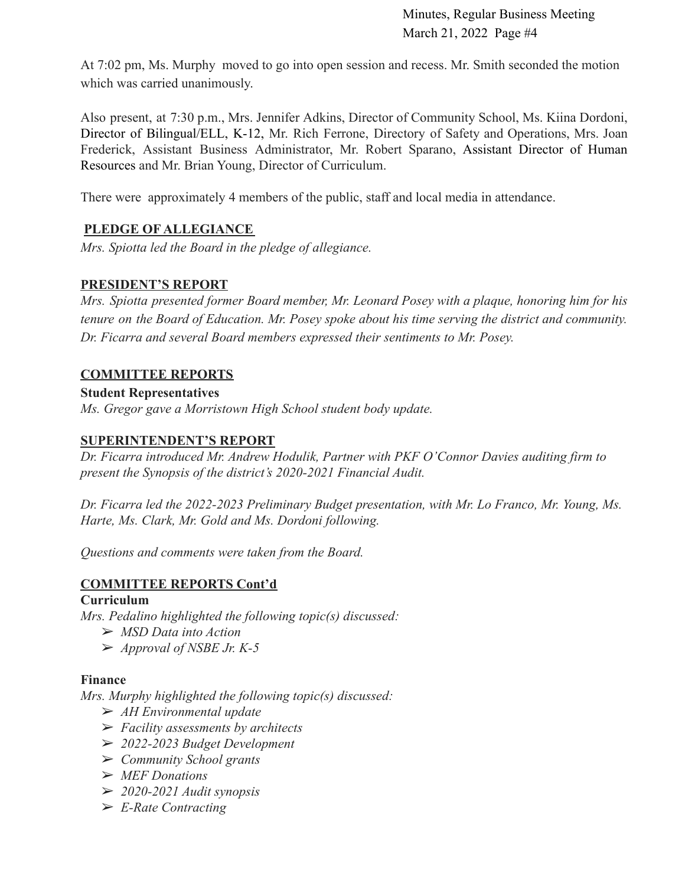At 7:02 pm, Ms. Murphy moved to go into open session and recess. Mr. Smith seconded the motion which was carried unanimously.

Also present, at 7:30 p.m., Mrs. Jennifer Adkins, Director of Community School, Ms. Kiina Dordoni, Director of Bilingual/ELL, K-12, Mr. Rich Ferrone, Directory of Safety and Operations, Mrs. Joan Frederick, Assistant Business Administrator, Mr. Robert Sparano, Assistant Director of Human Resources and Mr. Brian Young, Director of Curriculum.

There were approximately 4 members of the public, staff and local media in attendance.

# **PLEDGE OF ALLEGIANCE**

*Mrs. Spiotta led the Board in the pledge of allegiance.*

### **PRESIDENT'S REPORT**

*Mrs. Spiotta presented former Board member, Mr. Leonard Posey with a plaque, honoring him for his tenure on the Board of Education. Mr. Posey spoke about his time serving the district and community. Dr. Ficarra and several Board members expressed their sentiments to Mr. Posey.*

### **COMMITTEE REPORTS**

### **Student Representatives**

*Ms. Gregor gave a Morristown High School student body update.*

### **SUPERINTENDENT'S REPORT**

*Dr. Ficarra introduced Mr. Andrew Hodulik, Partner with PKF O'Connor Davies auditing firm to present the Synopsis of the district's 2020-2021 Financial Audit.*

*Dr. Ficarra led the 2022-2023 Preliminary Budget presentation, with Mr. Lo Franco, Mr. Young, Ms. Harte, Ms. Clark, Mr. Gold and Ms. Dordoni following.*

*Questions and comments were taken from the Board.*

# **COMMITTEE REPORTS Cont'd**

# **Curriculum**

*Mrs. Pedalino highlighted the following topic(s) discussed:*

- ➢ *MSD Data into Action*
- ➢ *Approval of NSBE Jr. K-5*

### **Finance**

*Mrs. Murphy highlighted the following topic(s) discussed:*

- ➢ *AH Environmental update*
- ➢ *Facility assessments by architects*
- ➢ *2022-2023 Budget Development*
- ➢ *Community School grants*
- ➢ *MEF Donations*
- ➢ *2020-2021 Audit synopsis*
- ➢ *E-Rate Contracting*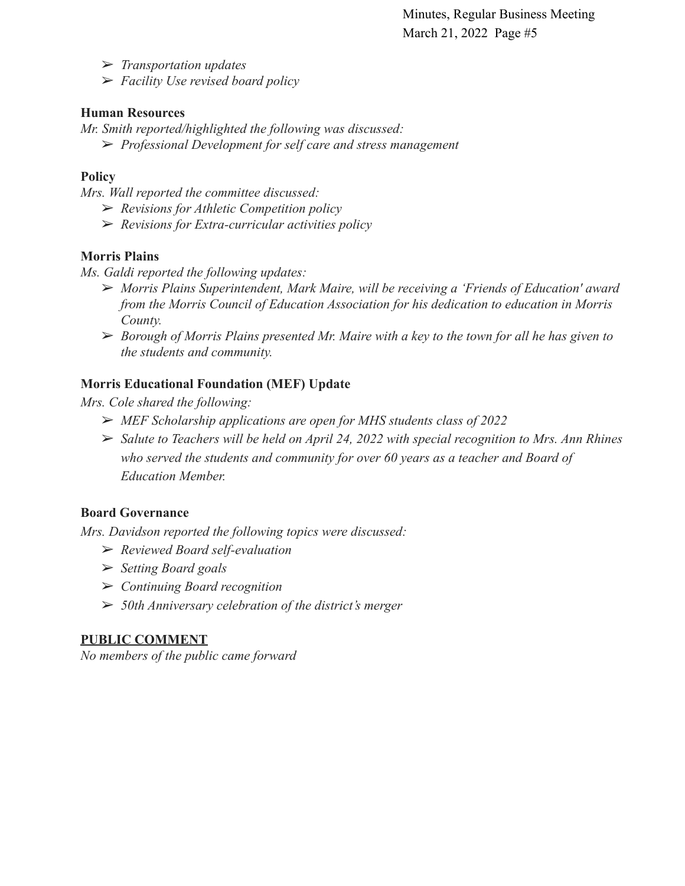➢ *Transportation updates*

➢ *Facility Use revised board policy*

### **Human Resources**

*Mr. Smith reported/highlighted the following was discussed:*

➢ *Professional Development for self care and stress management*

# **Policy**

*Mrs. Wall reported the committee discussed:*

- ➢ *Revisions for Athletic Competition policy*
- ➢ *Revisions for Extra-curricular activities policy*

# **Morris Plains**

*Ms. Galdi reported the following updates:*

- ➢ *Morris Plains Superintendent, Mark Maire, will be receiving a 'Friends of Education' award from the Morris Council of Education Association for his dedication to education in Morris County.*
- ➢ *Borough of Morris Plains presented Mr. Maire with a key to the town for all he has given to the students and community.*

# **Morris Educational Foundation (MEF) Update**

*Mrs. Cole shared the following:*

- ➢ *MEF Scholarship applications are open for MHS students class of 2022*
- ➢ *Salute to Teachers will be held on April 24, 2022 with special recognition to Mrs. Ann Rhines who served the students and community for over 60 years as a teacher and Board of Education Member.*

# **Board Governance**

*Mrs. Davidson reported the following topics were discussed:*

- ➢ *Reviewed Board self-evaluation*
- ➢ *Setting Board goals*
- ➢ *Continuing Board recognition*
- ➢ *50th Anniversary celebration of the district's merger*

# **PUBLIC COMMENT**

*No members of the public came forward*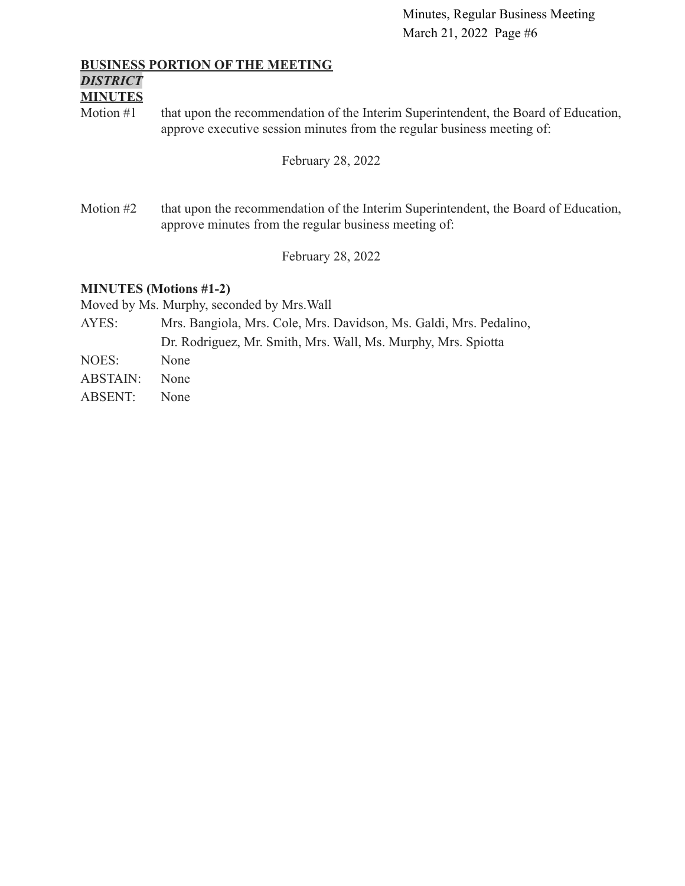#### **BUSINESS PORTION OF THE MEETING**

# *DISTRICT*

# **MINUTES**

Motion #1 that upon the recommendation of the Interim Superintendent, the Board of Education, approve executive session minutes from the regular business meeting of:

February 28, 2022

Motion #2 that upon the recommendation of the Interim Superintendent, the Board of Education, approve minutes from the regular business meeting of:

February 28, 2022

### **MINUTES (Motions #1-2)**

Moved by Ms. Murphy, seconded by Mrs.Wall

AYES: Mrs. Bangiola, Mrs. Cole, Mrs. Davidson, Ms. Galdi, Mrs. Pedalino, Dr. Rodriguez, Mr. Smith, Mrs. Wall, Ms. Murphy, Mrs. Spiotta NOES: None ABSTAIN: None ABSENT: None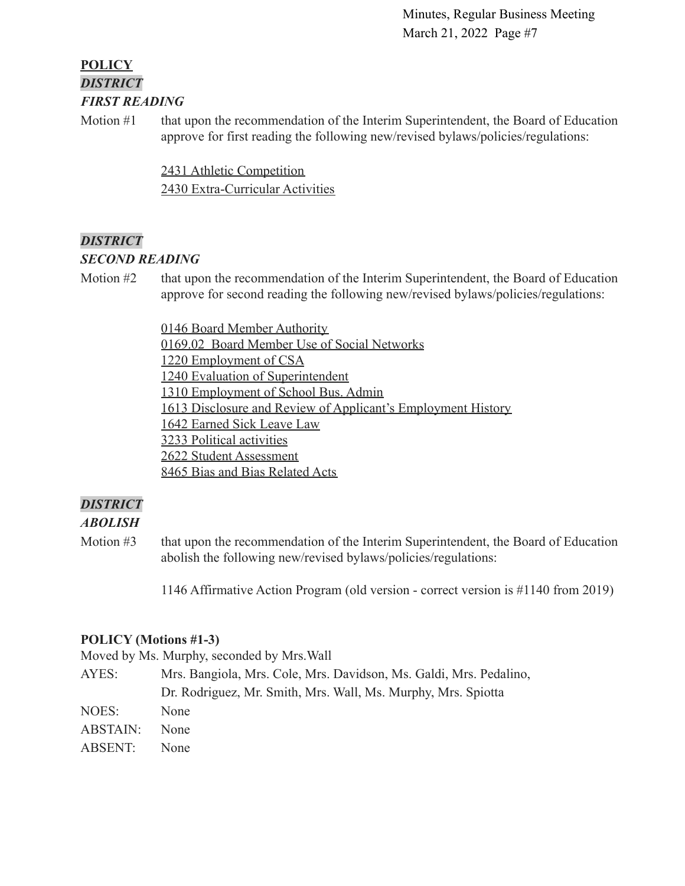# **POLICY** *DISTRICT FIRST READING*

Motion #1 that upon the recommendation of the Interim Superintendent, the Board of Education approve for first reading the following new/revised bylaws/policies/regulations:

> [2431 Athletic Competition](https://drive.google.com/file/d/1LmOawvT-oRI4H_1IKEaBG97W3ykBFQuA/view?usp=sharing) [2430 Extra-Curricular Activities](https://drive.google.com/file/d/13HJ7AHkN9EqYbHJa7gwzJQLY1GN56-2e/view?usp=sharing)

# *DISTRICT*

### *SECOND READING*

Motion #2 that upon the recommendation of the Interim Superintendent, the Board of Education approve for second reading the following new/revised bylaws/policies/regulations:

> [0146 Board Member Authority](https://drive.google.com/file/d/14BRwRgvT29NLzMLcOiUURXwyqpKybDu1/view?usp=sharing) [0169.02 Board Member Use of Social Networks](https://drive.google.com/file/d/1dPnhYH5XKOgB3w0Asii7QdiWYZlwHQ4X/view?usp=sharing) [1220 Employment of CSA](https://drive.google.com/file/d/1Aw_xKDM7Gjqlu28pyARsVuxuTkSqaIv_/view?usp=sharing) [1240 Evaluation of Superintendent](https://drive.google.com/file/d/1S8dxQ0f9fT2E595oBmfJ6EMWv0mcvobI/view?usp=sharing) [1310 Employment of School Bus. Admin](https://drive.google.com/file/d/1pGvOKIfwpvJtsbseAbMhdheBHeHMSbc4/view?usp=sharing) [1613 Disclosure and Review of Applicant's Employment History](https://drive.google.com/file/d/18SiGV7AuWBE0l6v8PxdQBfH2op4pynl7/view?usp=sharing) [1642 Earned Sick Leave Law](https://drive.google.com/file/d/1UUEnbeVnZ9mgfPmhkrxqYqr9THpv-UxO/view?usp=sharing) [3233 Political activities](https://drive.google.com/file/d/1IsjzWTNP5L_Dlf98UJbuPOIlNoZ5oF4N/view?usp=sharing) [2622 Student Assessment](https://drive.google.com/file/d/1_7bc43jEK_Ja1zwGqcaAEcmfLMoHp9e0/view?usp=sharing) [8465 Bias and Bias Related Acts](https://drive.google.com/file/d/1bcWaiZ3uF04GHfj1yjFcPzAGxg6MGVz_/view?usp=sharing)

# *DISTRICT*

# *ABOLISH*

Motion #3 that upon the recommendation of the Interim Superintendent, the Board of Education abolish the following new/revised bylaws/policies/regulations:

1146 Affirmative Action Program (old version - correct version is #1140 from 2019)

### **POLICY (Motions #1-3)**

Moved by Ms. Murphy, seconded by Mrs.Wall

AYES: Mrs. Bangiola, Mrs. Cole, Mrs. Davidson, Ms. Galdi, Mrs. Pedalino, Dr. Rodriguez, Mr. Smith, Mrs. Wall, Ms. Murphy, Mrs. Spiotta

- NOES: None ABSTAIN: None
- ABSENT: None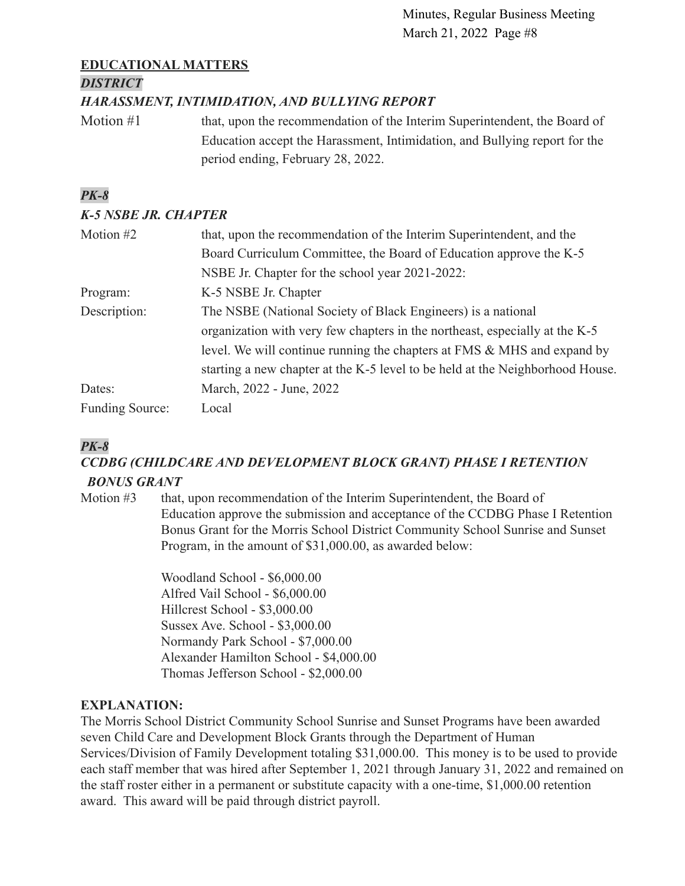# **EDUCATIONAL MATTERS**

### *DISTRICT*

# *HARASSMENT, INTIMIDATION, AND BULLYING REPORT*

Motion #1 that, upon the recommendation of the Interim Superintendent, the Board of Education accept the Harassment, Intimidation, and Bullying report for the period ending, February 28, 2022.

# *PK-8*

# *K-5 NSBE JR. CHAPTER*

| Motion #2              | that, upon the recommendation of the Interim Superintendent, and the          |
|------------------------|-------------------------------------------------------------------------------|
|                        | Board Curriculum Committee, the Board of Education approve the K-5            |
|                        | NSBE Jr. Chapter for the school year 2021-2022:                               |
| Program:               | K-5 NSBE Jr. Chapter                                                          |
| Description:           | The NSBE (National Society of Black Engineers) is a national                  |
|                        | organization with very few chapters in the northeast, especially at the K-5   |
|                        | level. We will continue running the chapters at FMS & MHS and expand by       |
|                        | starting a new chapter at the K-5 level to be held at the Neighborhood House. |
| Dates:                 | March, 2022 - June, 2022                                                      |
| <b>Funding Source:</b> | Local                                                                         |

# *PK-8*

# *CCDBG (CHILDCARE AND DEVELOPMENT BLOCK GRANT) PHASE I RETENTION BONUS GRANT*

Motion #3 that, upon recommendation of the Interim Superintendent, the Board of Education approve the submission and acceptance of the CCDBG Phase I Retention Bonus Grant for the Morris School District Community School Sunrise and Sunset Program, in the amount of \$31,000.00, as awarded below:

> Woodland School - \$6,000.00 Alfred Vail School - \$6,000.00 Hillcrest School - \$3,000.00 Sussex Ave. School - \$3,000.00 Normandy Park School - \$7,000.00 Alexander Hamilton School - \$4,000.00 Thomas Jefferson School - \$2,000.00

# **EXPLANATION:**

The Morris School District Community School Sunrise and Sunset Programs have been awarded seven Child Care and Development Block Grants through the Department of Human Services/Division of Family Development totaling \$31,000.00. This money is to be used to provide each staff member that was hired after September 1, 2021 through January 31, 2022 and remained on the staff roster either in a permanent or substitute capacity with a one-time, \$1,000.00 retention award. This award will be paid through district payroll.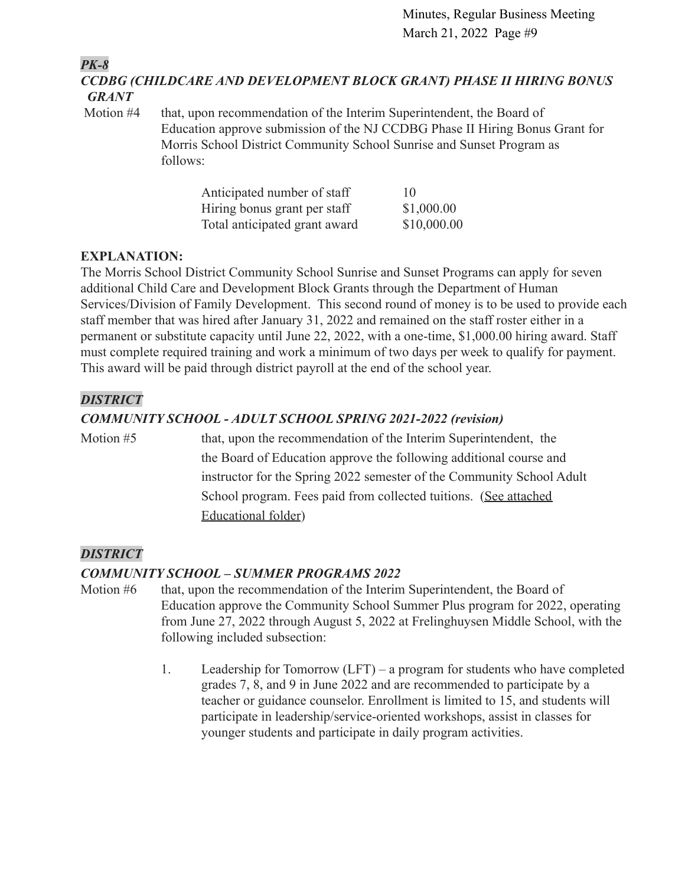*PK-8*

*CCDBG (CHILDCARE AND DEVELOPMENT BLOCK GRANT) PHASE II HIRING BONUS GRANT*

Motion #4 that, upon recommendation of the Interim Superintendent, the Board of Education approve submission of the NJ CCDBG Phase II Hiring Bonus Grant for Morris School District Community School Sunrise and Sunset Program as follows:

| Anticipated number of staff   | 10          |
|-------------------------------|-------------|
| Hiring bonus grant per staff  | \$1,000.00  |
| Total anticipated grant award | \$10,000.00 |

# **EXPLANATION:**

The Morris School District Community School Sunrise and Sunset Programs can apply for seven additional Child Care and Development Block Grants through the Department of Human Services/Division of Family Development. This second round of money is to be used to provide each staff member that was hired after January 31, 2022 and remained on the staff roster either in a permanent or substitute capacity until June 22, 2022, with a one-time, \$1,000.00 hiring award. Staff must complete required training and work a minimum of two days per week to qualify for payment. This award will be paid through district payroll at the end of the school year.

# *DISTRICT*

# *COMMUNITY SCHOOL - ADULT SCHOOL SPRING 2021-2022 (revision)*

Motion #5 that, upon the recommendation of the Interim Superintendent, the the Board of Education approve the following additional course and instructor for the Spring 2022 semester of the Community School Adult School program. Fees paid from collected tuitions. [\(See attached](https://docs.google.com/document/d/1nSqYda4jzKKKeIfhmLA8cAF_cOuXP6oS/edit?usp=sharing&ouid=100328447019194517303&rtpof=true&sd=true) [Educational folder\)](https://docs.google.com/document/d/1nSqYda4jzKKKeIfhmLA8cAF_cOuXP6oS/edit?usp=sharing&ouid=100328447019194517303&rtpof=true&sd=true)

# *DISTRICT*

# *COMMUNITY SCHOOL – SUMMER PROGRAMS 2022*

- Motion #6 that, upon the recommendation of the Interim Superintendent, the Board of Education approve the Community School Summer Plus program for 2022, operating from June 27, 2022 through August 5, 2022 at Frelinghuysen Middle School, with the following included subsection:
	- 1. Leadership for Tomorrow (LFT) a program for students who have completed grades 7, 8, and 9 in June 2022 and are recommended to participate by a teacher or guidance counselor. Enrollment is limited to 15, and students will participate in leadership/service-oriented workshops, assist in classes for younger students and participate in daily program activities.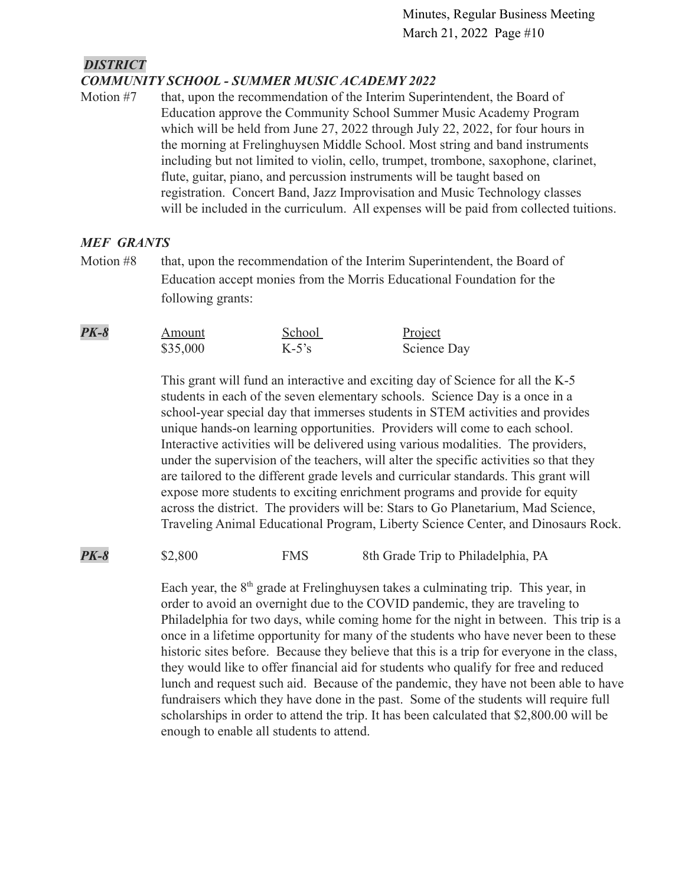#### *DISTRICT COMMUNITY SCHOOL - SUMMER MUSIC ACADEMY 2022*

Motion #7 that, upon the recommendation of the Interim Superintendent, the Board of Education approve the Community School Summer Music Academy Program which will be held from June 27, 2022 through July 22, 2022, for four hours in the morning at Frelinghuysen Middle School. Most string and band instruments including but not limited to violin, cello, trumpet, trombone, saxophone, clarinet, flute, guitar, piano, and percussion instruments will be taught based on registration. Concert Band, Jazz Improvisation and Music Technology classes will be included in the curriculum. All expenses will be paid from collected tuitions.

### *MEF GRANTS*

Motion #8 that, upon the recommendation of the Interim Superintendent, the Board of Education accept monies from the Morris Educational Foundation for the following grants:

| $PK-8$ | Amount   | School   | Project     |
|--------|----------|----------|-------------|
|        | \$35,000 | $K-5$ 's | Science Day |

This grant will fund an interactive and exciting day of Science for all the K-5 students in each of the seven elementary schools. Science Day is a once in a school-year special day that immerses students in STEM activities and provides unique hands-on learning opportunities. Providers will come to each school. Interactive activities will be delivered using various modalities. The providers, under the supervision of the teachers, will alter the specific activities so that they are tailored to the different grade levels and curricular standards. This grant will expose more students to exciting enrichment programs and provide for equity across the district. The providers will be: Stars to Go Planetarium, Mad Science, Traveling Animal Educational Program, Liberty Science Center, and Dinosaurs Rock.

**PK-8** \$2,800 FMS 8th Grade Trip to Philadelphia, PA

Each year, the  $8<sup>th</sup>$  grade at Frelinghuysen takes a culminating trip. This year, in order to avoid an overnight due to the COVID pandemic, they are traveling to Philadelphia for two days, while coming home for the night in between. This trip is a once in a lifetime opportunity for many of the students who have never been to these historic sites before. Because they believe that this is a trip for everyone in the class, they would like to offer financial aid for students who qualify for free and reduced lunch and request such aid. Because of the pandemic, they have not been able to have fundraisers which they have done in the past. Some of the students will require full scholarships in order to attend the trip. It has been calculated that \$2,800.00 will be enough to enable all students to attend.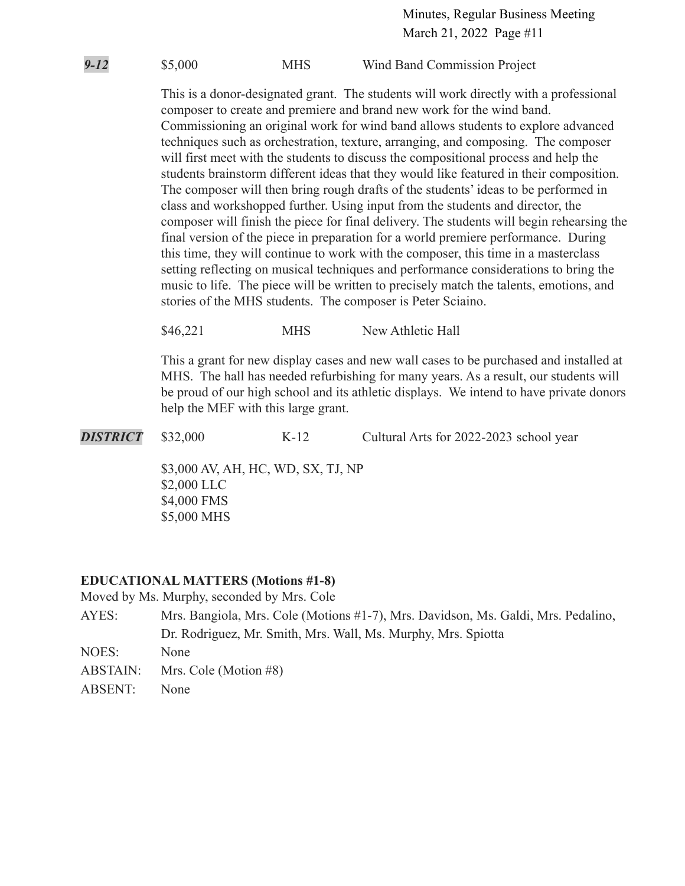*9-12* \$5,000 MHS Wind Band Commission Project

This is a donor-designated grant. The students will work directly with a professional composer to create and premiere and brand new work for the wind band. Commissioning an original work for wind band allows students to explore advanced techniques such as orchestration, texture, arranging, and composing. The composer will first meet with the students to discuss the compositional process and help the students brainstorm different ideas that they would like featured in their composition. The composer will then bring rough drafts of the students' ideas to be performed in class and workshopped further. Using input from the students and director, the composer will finish the piece for final delivery. The students will begin rehearsing the final version of the piece in preparation for a world premiere performance. During this time, they will continue to work with the composer, this time in a masterclass setting reflecting on musical techniques and performance considerations to bring the music to life. The piece will be written to precisely match the talents, emotions, and stories of the MHS students. The composer is Peter Sciaino.

\$46,221 MHS New Athletic Hall

This a grant for new display cases and new wall cases to be purchased and installed at MHS. The hall has needed refurbishing for many years. As a result, our students will be proud of our high school and its athletic displays. We intend to have private donors help the MEF with this large grant.

**DISTRICT** \$32,000 K-12 Cultural Arts for 2022-2023 school year

\$3,000 AV, AH, HC, WD, SX, TJ, NP \$2,000 LLC \$4,000 FMS \$5,000 MHS

# **EDUCATIONAL MATTERS (Motions #1-8)**

Moved by Ms. Murphy, seconded by Mrs. Cole

- AYES: Mrs. Bangiola, Mrs. Cole (Motions #1-7), Mrs. Davidson, Ms. Galdi, Mrs. Pedalino, Dr. Rodriguez, Mr. Smith, Mrs. Wall, Ms. Murphy, Mrs. Spiotta
- NOES: None
- ABSTAIN: Mrs. Cole (Motion #8)
- ABSENT: None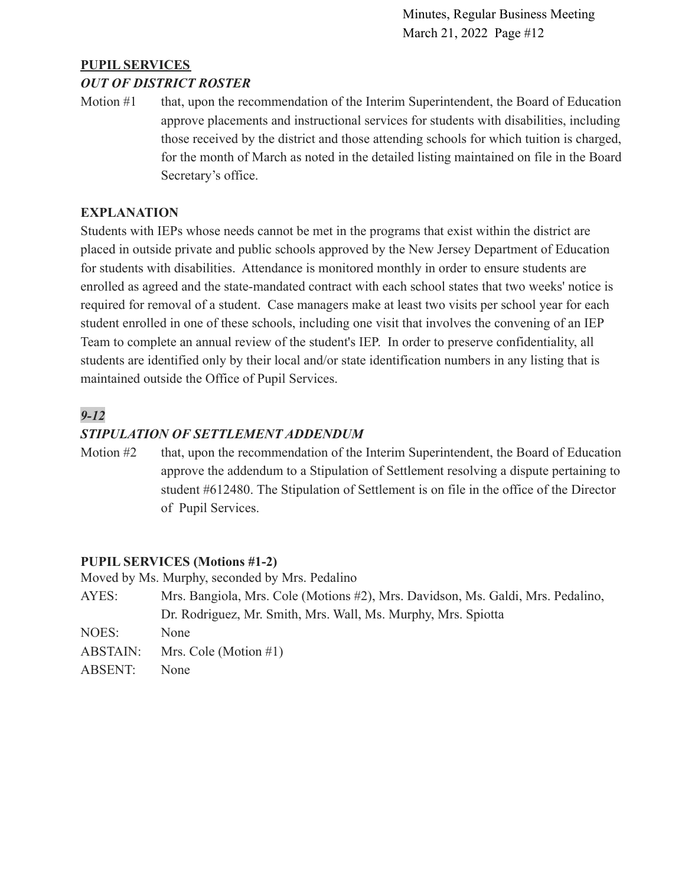# **PUPIL SERVICES**

### *OUT OF DISTRICT ROSTER*

Motion #1 that, upon the recommendation of the Interim Superintendent, the Board of Education approve placements and instructional services for students with disabilities, including those received by the district and those attending schools for which tuition is charged, for the month of March as noted in the detailed listing maintained on file in the Board Secretary's office.

### **EXPLANATION**

Students with IEPs whose needs cannot be met in the programs that exist within the district are placed in outside private and public schools approved by the New Jersey Department of Education for students with disabilities. Attendance is monitored monthly in order to ensure students are enrolled as agreed and the state-mandated contract with each school states that two weeks' notice is required for removal of a student. Case managers make at least two visits per school year for each student enrolled in one of these schools, including one visit that involves the convening of an IEP Team to complete an annual review of the student's IEP. In order to preserve confidentiality, all students are identified only by their local and/or state identification numbers in any listing that is maintained outside the Office of Pupil Services.

# *9-12*

### *STIPULATION OF SETTLEMENT ADDENDUM*

Motion #2 that, upon the recommendation of the Interim Superintendent, the Board of Education approve the addendum to a Stipulation of Settlement resolving a dispute pertaining to student #612480. The Stipulation of Settlement is on file in the office of the Director of Pupil Services.

### **PUPIL SERVICES (Motions #1-2)**

Moved by Ms. Murphy, seconded by Mrs. Pedalino

| AYES:    | Mrs. Bangiola, Mrs. Cole (Motions #2), Mrs. Davidson, Ms. Galdi, Mrs. Pedalino, |
|----------|---------------------------------------------------------------------------------|
|          | Dr. Rodriguez, Mr. Smith, Mrs. Wall, Ms. Murphy, Mrs. Spiotta                   |
| NOES:    | None                                                                            |
| ABSTAIN: | Mrs. Cole (Motion $#1$ )                                                        |
| ABSENT:  | None                                                                            |
|          |                                                                                 |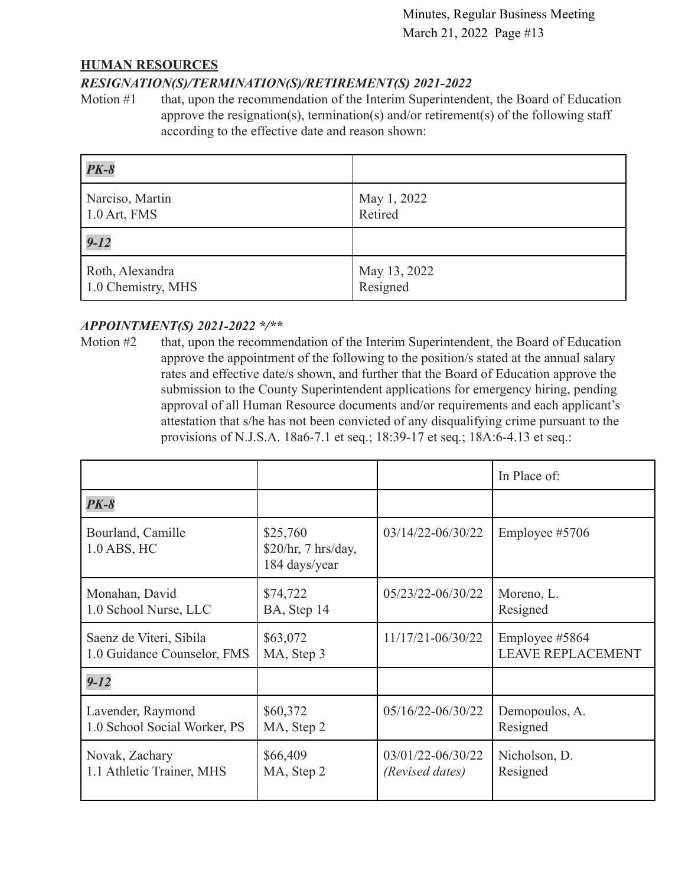### **HUMAN RESOURCES**

### *RESIGNATION(S)/TERMINATION(S)/RETIREMENT(S) 2021-2022*

Motion #1 that, upon the recommendation of the Interim Superintendent, the Board of Education approve the resignation(s), termination(s) and/or retirement(s) of the following staff according to the effective date and reason shown:

| $PK-8$             |              |
|--------------------|--------------|
| Narciso, Martin    | May 1, 2022  |
| $1.0$ Art, FMS     | Retired      |
| $9 - 12$           |              |
| Roth, Alexandra    | May 13, 2022 |
| 1.0 Chemistry, MHS | Resigned     |

# *APPOINTMENT(S) 2021-2022 \*/\*\**

Motion #2 that, upon the recommendation of the Interim Superintendent, the Board of Education approve the appointment of the following to the position/s stated at the annual salary rates and effective date/s shown, and further that the Board of Education approve the submission to the County Superintendent applications for emergency hiring, pending approval of all Human Resource documents and/or requirements and each applicant's attestation that s/he has not been convicted of any disqualifying crime pursuant to the provisions of N.J.S.A. 18a6-7.1 et seq.; 18:39-17 et seq.; 18A:6-4.13 et seq.:

|                                  |                                                  |                       | In Place of:             |
|----------------------------------|--------------------------------------------------|-----------------------|--------------------------|
| <b>PK-8</b>                      |                                                  |                       |                          |
| Bourland, Camille<br>1.0 ABS, HC | \$25,760<br>\$20/hr, 7 hrs/day,<br>184 days/year | $03/14/22 - 06/30/22$ | Employee #5706           |
| Monahan, David                   | \$74,722                                         | 05/23/22-06/30/22     | Moreno, L.               |
| 1.0 School Nurse, LLC            | BA, Step 14                                      |                       | Resigned                 |
| Saenz de Viteri, Sibila          | \$63,072                                         | $11/17/21 - 06/30/22$ | Employee #5864           |
| 1.0 Guidance Counselor, FMS      | MA, Step 3                                       |                       | <b>LEAVE REPLACEMENT</b> |
| $9 - 12$                         |                                                  |                       |                          |
| Lavender, Raymond                | \$60,372                                         | 05/16/22-06/30/22     | Demopoulos, A.           |
| 1.0 School Social Worker, PS     | MA, Step 2                                       |                       | Resigned                 |
| Novak, Zachary                   | \$66,409                                         | 03/01/22-06/30/22     | Nicholson, D.            |
| 1.1 Athletic Trainer, MHS        | MA, Step 2                                       | (Revised dates)       | Resigned                 |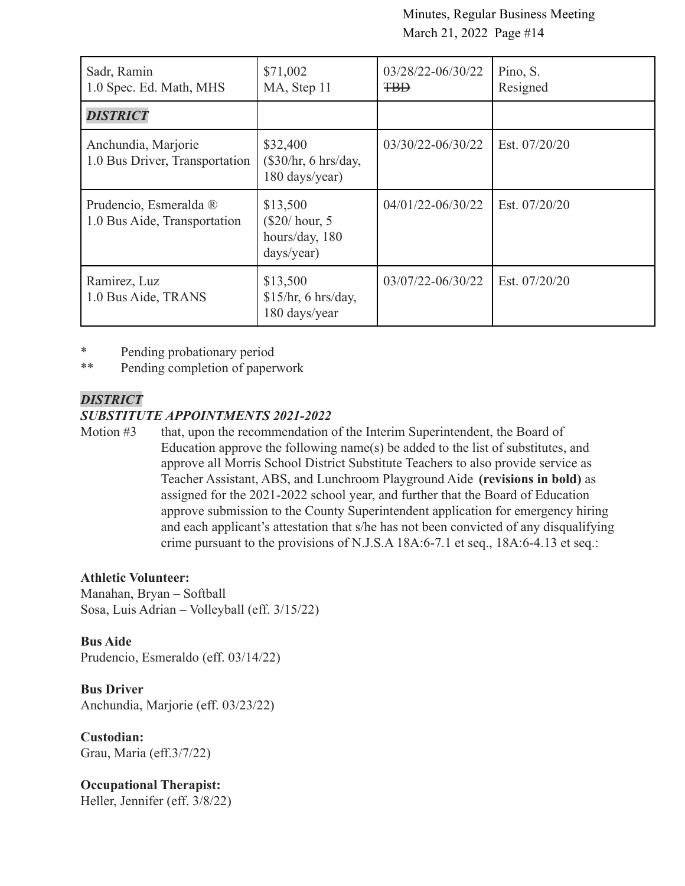| Sadr, Ramin<br>1.0 Spec. Ed. Math, MHS                 | \$71,002<br>MA, Step 11                                     | 03/28/22-06/30/22<br><b>TBD</b> | Pino, S.<br>Resigned |
|--------------------------------------------------------|-------------------------------------------------------------|---------------------------------|----------------------|
| <b>DISTRICT</b>                                        |                                                             |                                 |                      |
| Anchundia, Marjorie<br>1.0 Bus Driver, Transportation  | \$32,400<br>(\$30/hr, 6 hrs/day,<br>180 days/year)          | 03/30/22-06/30/22               | Est. 07/20/20        |
| Prudencio, Esmeralda ®<br>1.0 Bus Aide, Transportation | \$13,500<br>$(\$20/hour, 5$<br>hours/day, 180<br>days/year) | 04/01/22-06/30/22               | Est. $07/20/20$      |
| Ramirez, Luz<br>1.0 Bus Aide, TRANS                    | \$13,500<br>\$15/hr, 6 hrs/day,<br>180 days/year            | 03/07/22-06/30/22               | Est. 07/20/20        |

\* Pending probationary period

\*\* Pending completion of paperwork

### *DISTRICT*

### *SUBSTITUTE APPOINTMENTS 2021-2022*

Motion #3 that, upon the recommendation of the Interim Superintendent, the Board of Education approve the following name(s) be added to the list of substitutes, and approve all Morris School District Substitute Teachers to also provide service as Teacher Assistant, ABS, and Lunchroom Playground Aide **(revisions in bold)** as assigned for the 2021-2022 school year, and further that the Board of Education approve submission to the County Superintendent application for emergency hiring and each applicant's attestation that s/he has not been convicted of any disqualifying crime pursuant to the provisions of N.J.S.A 18A:6-7.1 et seq., 18A:6-4.13 et seq.:

### **Athletic Volunteer:**

Manahan, Bryan – Softball Sosa, Luis Adrian – Volleyball (eff. 3/15/22)

**Bus Aide** Prudencio, Esmeraldo (eff. 03/14/22)

**Bus Driver** Anchundia, Marjorie (eff. 03/23/22)

**Custodian:** Grau, Maria (eff.3/7/22)

**Occupational Therapist:** Heller, Jennifer (eff. 3/8/22)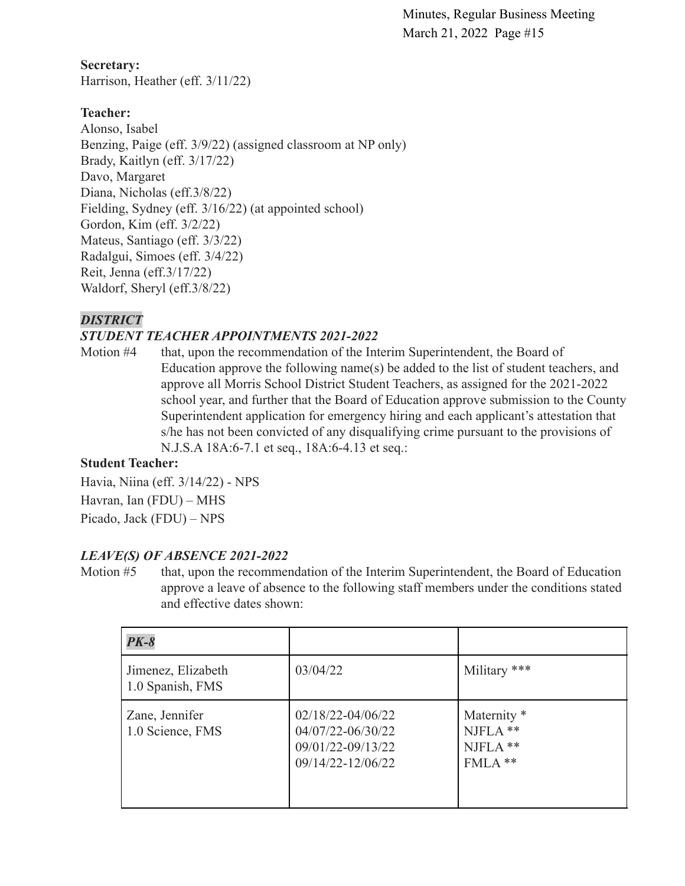**Secretary:** Harrison, Heather (eff. 3/11/22)

# **Teacher:**

Alonso, Isabel Benzing, Paige (eff. 3/9/22) (assigned classroom at NP only) Brady, Kaitlyn (eff. 3/17/22) Davo, Margaret Diana, Nicholas (eff.3/8/22) Fielding, Sydney (eff. 3/16/22) (at appointed school) Gordon, Kim (eff. 3/2/22) Mateus, Santiago (eff. 3/3/22) Radalgui, Simoes (eff. 3/4/22) Reit, Jenna (eff.3/17/22) Waldorf, Sheryl (eff.3/8/22)

# *DISTRICT*

# *STUDENT TEACHER APPOINTMENTS 2021-2022*

Motion #4 that, upon the recommendation of the Interim Superintendent, the Board of Education approve the following name(s) be added to the list of student teachers, and approve all Morris School District Student Teachers, as assigned for the 2021-2022 school year, and further that the Board of Education approve submission to the County Superintendent application for emergency hiring and each applicant's attestation that s/he has not been convicted of any disqualifying crime pursuant to the provisions of N.J.S.A 18A:6-7.1 et seq., 18A:6-4.13 et seq.:

### **Student Teacher:**

Havia, Niina (eff. 3/14/22) - NPS Havran, Ian (FDU) – MHS Picado, Jack (FDU) – NPS

# *LEAVE(S) OF ABSENCE 2021-2022*

Motion #5 that, upon the recommendation of the Interim Superintendent, the Board of Education approve a leave of absence to the following staff members under the conditions stated and effective dates shown:

| $PK-8$                                 |                                                                                      |                                                             |
|----------------------------------------|--------------------------------------------------------------------------------------|-------------------------------------------------------------|
| Jimenez, Elizabeth<br>1.0 Spanish, FMS | 03/04/22                                                                             | Military ***                                                |
| Zane, Jennifer<br>1.0 Science, FMS     | $02/18/22 - 04/06/22$<br>04/07/22-06/30/22<br>09/01/22-09/13/22<br>09/14/22-12/06/22 | Maternity <sup>*</sup><br>$NJFLA$ **<br>NJFLA **<br>FMLA ** |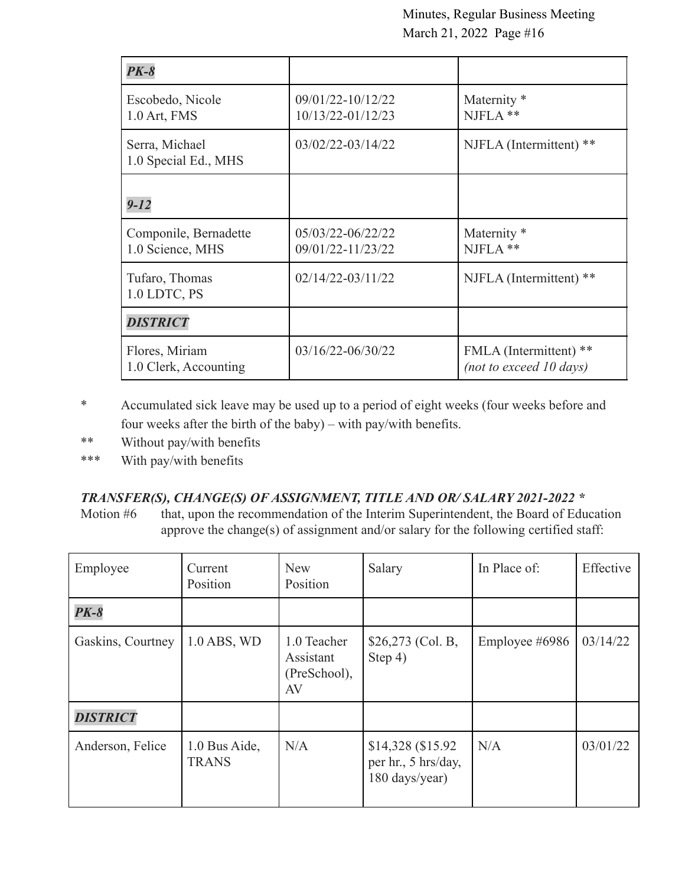| $PK-8$                                    |                                        |                                                   |
|-------------------------------------------|----------------------------------------|---------------------------------------------------|
| Escobedo, Nicole<br>1.0 Art, FMS          | 09/01/22-10/12/22<br>10/13/22-01/12/23 | Maternity <sup>*</sup><br>$NJFLA$ **              |
| Serra, Michael<br>1.0 Special Ed., MHS    | 03/02/22-03/14/22                      | NJFLA (Intermittent) **                           |
| $9 - 12$                                  |                                        |                                                   |
| Componile, Bernadette<br>1.0 Science, MHS | 05/03/22-06/22/22<br>09/01/22-11/23/22 | Maternity <sup>*</sup><br>$NIFLA$ **              |
| Tufaro, Thomas<br>1.0 LDTC, PS            | $02/14/22 - 03/11/22$                  | NJFLA (Intermittent) **                           |
| <b>DISTRICT</b>                           |                                        |                                                   |
| Flores, Miriam<br>1.0 Clerk, Accounting   | $03/16/22 - 06/30/22$                  | FMLA (Intermittent) **<br>(not to exceed 10 days) |

\* Accumulated sick leave may be used up to a period of eight weeks (four weeks before and four weeks after the birth of the baby) – with pay/with benefits.

- \*\* Without pay/with benefits
- \*\*\* With pay/with benefits

# *TRANSFER(S), CHANGE(S) OF ASSIGNMENT, TITLE AND OR/ SALARY 2021-2022 \**

Motion #6 that, upon the recommendation of the Interim Superintendent, the Board of Education approve the change(s) of assignment and/or salary for the following certified staff:

| Employee          | Current<br>Position           | <b>New</b><br>Position                         | Salary                                                      | In Place of:   | Effective |
|-------------------|-------------------------------|------------------------------------------------|-------------------------------------------------------------|----------------|-----------|
| $PK-8$            |                               |                                                |                                                             |                |           |
| Gaskins, Courtney | $1.0$ ABS, WD                 | 1.0 Teacher<br>Assistant<br>(PreSchool),<br>AV | $$26,273$ (Col. B,<br>Step 4)                               | Employee #6986 | 03/14/22  |
| <b>DISTRICT</b>   |                               |                                                |                                                             |                |           |
| Anderson, Felice  | 1.0 Bus Aide,<br><b>TRANS</b> | N/A                                            | \$14,328 (\$15.92)<br>per hr., 5 hrs/day,<br>180 days/year) | N/A            | 03/01/22  |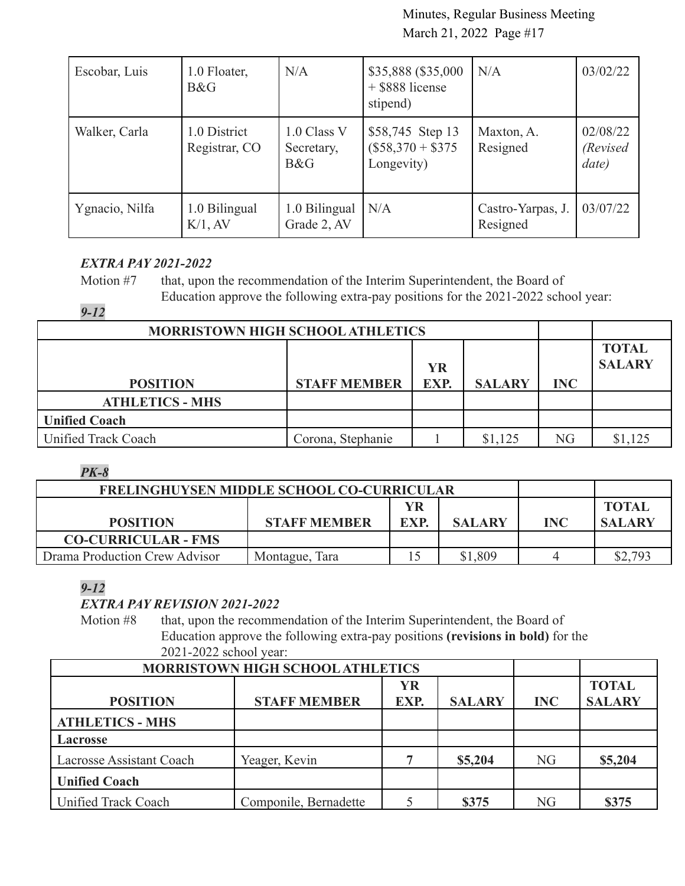| Escobar, Luis  | 1.0 Floater,<br>B&G           | N/A                              | \$35,888 (\$35,000<br>+ \$888 license<br>stipend)   | N/A                           | 03/02/22                       |
|----------------|-------------------------------|----------------------------------|-----------------------------------------------------|-------------------------------|--------------------------------|
| Walker, Carla  | 1.0 District<br>Registrar, CO | 1.0 Class V<br>Secretary,<br>B&G | \$58,745 Step 13<br>$($58,370 + $375$<br>Longevity) | Maxton, A.<br>Resigned        | 02/08/22<br>(Revised)<br>date) |
| Ygnacio, Nilfa | 1.0 Bilingual<br>$K/1$ , AV   | 1.0 Bilingual<br>Grade 2, AV     | N/A                                                 | Castro-Yarpas, J.<br>Resigned | 03/07/22                       |

# *EXTRA PAY 2021-2022*

Motion #7 that, upon the recommendation of the Interim Superintendent, the Board of Education approve the following extra-pay positions for the 2021-2022 school year:

# *9-12*

| <b>MORRISTOWN HIGH SCHOOL ATHLETICS</b> |                     |           |               |            |               |
|-----------------------------------------|---------------------|-----------|---------------|------------|---------------|
|                                         |                     |           |               |            | <b>TOTAL</b>  |
|                                         |                     | <b>YR</b> |               |            | <b>SALARY</b> |
| <b>POSITION</b>                         | <b>STAFF MEMBER</b> | EXP.      | <b>SALARY</b> | <b>INC</b> |               |
| <b>ATHLETICS - MHS</b>                  |                     |           |               |            |               |
| <b>Unified Coach</b>                    |                     |           |               |            |               |
| Unified Track Coach                     | Corona, Stephanie   |           | \$1,125       | NG         | \$1,125       |
|                                         |                     |           |               |            |               |

### *PK-8*

| <b>FRELINGHUYSEN MIDDLE SCHOOL CO-CURRICULAR</b> |                     |                  |               |            |                               |
|--------------------------------------------------|---------------------|------------------|---------------|------------|-------------------------------|
| <b>POSITION</b>                                  | <b>STAFF MEMBER</b> | YR<br><b>EXP</b> | <b>SALARY</b> | <b>INC</b> | <b>TOTAL</b><br><b>SALARY</b> |
| <b>CO-CURRICULAR - FMS</b>                       |                     |                  |               |            |                               |
| Drama Production Crew Advisor                    | Montague, Tara      |                  | \$1,809       |            | \$2,793                       |

# *9-12*

# *EXTRA PAY REVISION 2021-2022*

Motion #8 that, upon the recommendation of the Interim Superintendent, the Board of Education approve the following extra-pay positions **(revisions in bold)** for the 2021-2022 school year:

| MORRISTOWN HIGH SCHOOL ATHLETICS |                       |           |               |            |               |
|----------------------------------|-----------------------|-----------|---------------|------------|---------------|
|                                  |                       | <b>YR</b> |               |            | <b>TOTAL</b>  |
| <b>POSITION</b>                  | <b>STAFF MEMBER</b>   | EXP.      | <b>SALARY</b> | <b>INC</b> | <b>SALARY</b> |
| <b>ATHLETICS - MHS</b>           |                       |           |               |            |               |
| <b>Lacrosse</b>                  |                       |           |               |            |               |
| <b>Lacrosse Assistant Coach</b>  | Yeager, Kevin         |           | \$5,204       | <b>NG</b>  | \$5,204       |
| <b>Unified Coach</b>             |                       |           |               |            |               |
| Unified Track Coach              | Componile, Bernadette |           | \$375         | NG         | \$375         |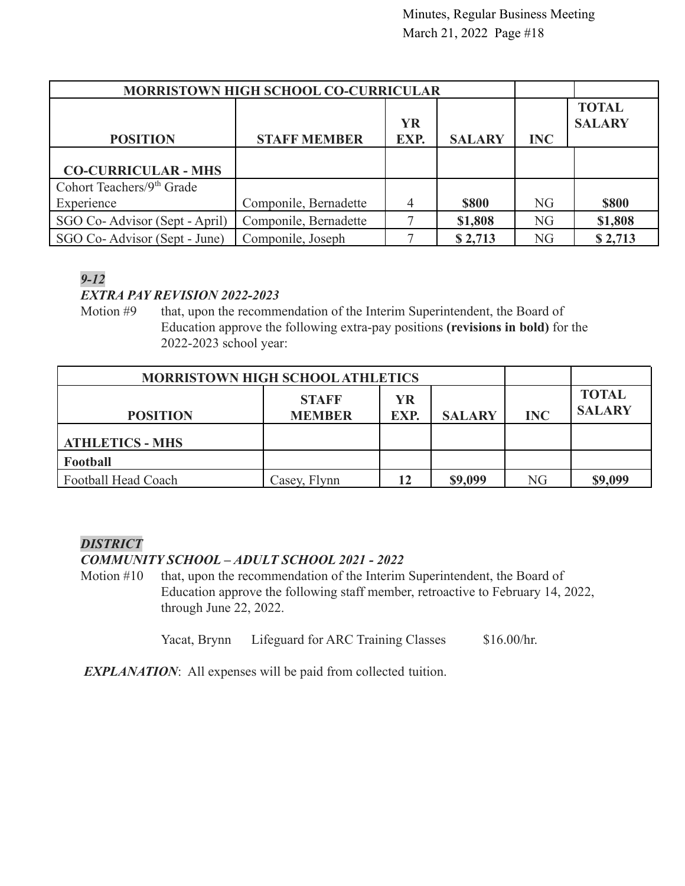| <b>MORRISTOWN HIGH SCHOOL CO-CURRICULAR</b> |                       |           |               |                |               |
|---------------------------------------------|-----------------------|-----------|---------------|----------------|---------------|
|                                             |                       |           |               |                | <b>TOTAL</b>  |
|                                             |                       | <b>YR</b> |               |                | <b>SALARY</b> |
| <b>POSITION</b>                             | <b>STAFF MEMBER</b>   | EXP.      | <b>SALARY</b> | <b>INC</b>     |               |
|                                             |                       |           |               |                |               |
| <b>CO-CURRICULAR - MHS</b>                  |                       |           |               |                |               |
| Cohort Teachers/ $9th$ Grade                |                       |           |               |                |               |
| Experience                                  | Componile, Bernadette | 4         | <b>\$800</b>  | N <sub>G</sub> | <b>\$800</b>  |
| SGO Co-Advisor (Sept - April)               | Componile, Bernadette |           | \$1,808       | <b>NG</b>      | \$1,808       |
| SGO Co-Advisor (Sept - June)                | Componile, Joseph     |           | \$2,713       | <b>NG</b>      | \$2,713       |

# *9-12*

# *EXTRA PAY REVISION 2022-2023*

Motion #9 that, upon the recommendation of the Interim Superintendent, the Board of Education approve the following extra-pay positions **(revisions in bold)** for the 2022-2023 school year:

| <b>MORRISTOWN HIGH SCHOOL ATHLETICS</b> |               |      |               |            |               |
|-----------------------------------------|---------------|------|---------------|------------|---------------|
|                                         | <b>STAFF</b>  | YR   |               |            | <b>TOTAL</b>  |
| <b>POSITION</b>                         | <b>MEMBER</b> | EXP. | <b>SALARY</b> | <b>INC</b> | <b>SALARY</b> |
| <b>ATHLETICS - MHS</b>                  |               |      |               |            |               |
| Football                                |               |      |               |            |               |
| Football Head Coach                     | Casey, Flynn  | 12   | \$9,099       | NG         | \$9,099       |

# *DISTRICT*

# *COMMUNITY SCHOOL – ADULT SCHOOL 2021 - 2022*

Motion #10 that, upon the recommendation of the Interim Superintendent, the Board of Education approve the following staff member, retroactive to February 14, 2022, through June 22, 2022.

Yacat, Brynn Lifeguard for ARC Training Classes \$16.00/hr.

*EXPLANATION*: All expenses will be paid from collected tuition.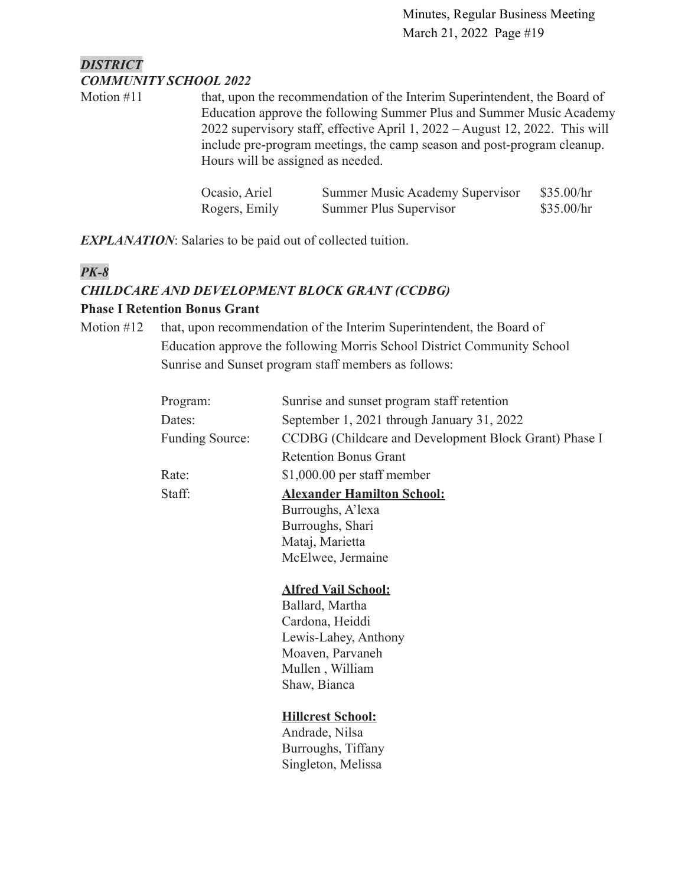# *DISTRICT COMMUNITY SCHOOL 2022*

Motion #11 that, upon the recommendation of the Interim Superintendent, the Board of Education approve the following Summer Plus and Summer Music Academy 2022 supervisory staff, effective April 1, 2022 – August 12, 2022. This will include pre-program meetings, the camp season and post-program cleanup. Hours will be assigned as needed.

| Ocasio, Ariel | <b>Summer Music Academy Supervisor</b> | \$35.00/hr |
|---------------|----------------------------------------|------------|
| Rogers, Emily | Summer Plus Supervisor                 | \$35.00/hr |

*EXPLANATION*: Salaries to be paid out of collected tuition.

# *PK-8*

# *CHILDCARE AND DEVELOPMENT BLOCK GRANT (CCDBG)*

### **Phase I Retention Bonus Grant**

Motion #12 that, upon recommendation of the Interim Superintendent, the Board of Education approve the following Morris School District Community School Sunrise and Sunset program staff members as follows:

| Program:        | Sunrise and sunset program staff retention            |
|-----------------|-------------------------------------------------------|
| Dates:          | September 1, 2021 through January 31, 2022            |
| Funding Source: | CCDBG (Childcare and Development Block Grant) Phase I |
|                 | <b>Retention Bonus Grant</b>                          |
| Rate:           | \$1,000.00 per staff member                           |
| Staff:          | <b>Alexander Hamilton School:</b>                     |
|                 | Burroughs, A'lexa                                     |
|                 | Burroughs, Shari                                      |
|                 | Mataj, Marietta                                       |
|                 | McElwee, Jermaine                                     |
|                 | <b>Alfred Vail School:</b>                            |
|                 | Ballard, Martha                                       |
|                 | Cardona, Heiddi                                       |
|                 | Lewis-Lahey, Anthony                                  |
|                 | Moaven, Parvaneh                                      |
|                 | Mullen, William                                       |
|                 | Shaw, Bianca                                          |

**Hillcrest School:**

Andrade, Nilsa Burroughs, Tiffany Singleton, Melissa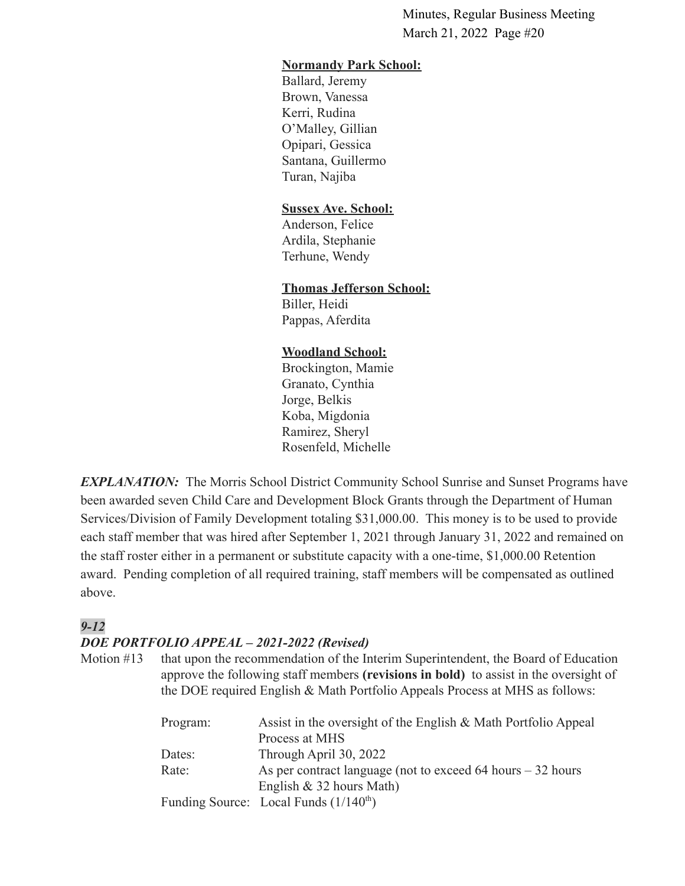### **Normandy Park School:**

Ballard, Jeremy Brown, Vanessa Kerri, Rudina O'Malley, Gillian Opipari, Gessica Santana, Guillermo Turan, Najiba

### **Sussex Ave. School:**

Anderson, Felice Ardila, Stephanie Terhune, Wendy

### **Thomas Jefferson School:**

Biller, Heidi Pappas, Aferdita

#### **Woodland School:**

Brockington, Mamie Granato, Cynthia Jorge, Belkis Koba, Migdonia Ramirez, Sheryl Rosenfeld, Michelle

*EXPLANATION:* The Morris School District Community School Sunrise and Sunset Programs have been awarded seven Child Care and Development Block Grants through the Department of Human Services/Division of Family Development totaling \$31,000.00. This money is to be used to provide each staff member that was hired after September 1, 2021 through January 31, 2022 and remained on the staff roster either in a permanent or substitute capacity with a one-time, \$1,000.00 Retention award. Pending completion of all required training, staff members will be compensated as outlined above.

# *9-12*

### *DOE PORTFOLIO APPEAL – 2021-2022 (Revised)*

Motion #13 that upon the recommendation of the Interim Superintendent, the Board of Education approve the following staff members **(revisions in bold)** to assist in the oversight of the DOE required English & Math Portfolio Appeals Process at MHS as follows:

| Assist in the oversight of the English & Math Portfolio Appeal |
|----------------------------------------------------------------|
|                                                                |
|                                                                |
| As per contract language (not to exceed 64 hours $-32$ hours   |
|                                                                |
|                                                                |
|                                                                |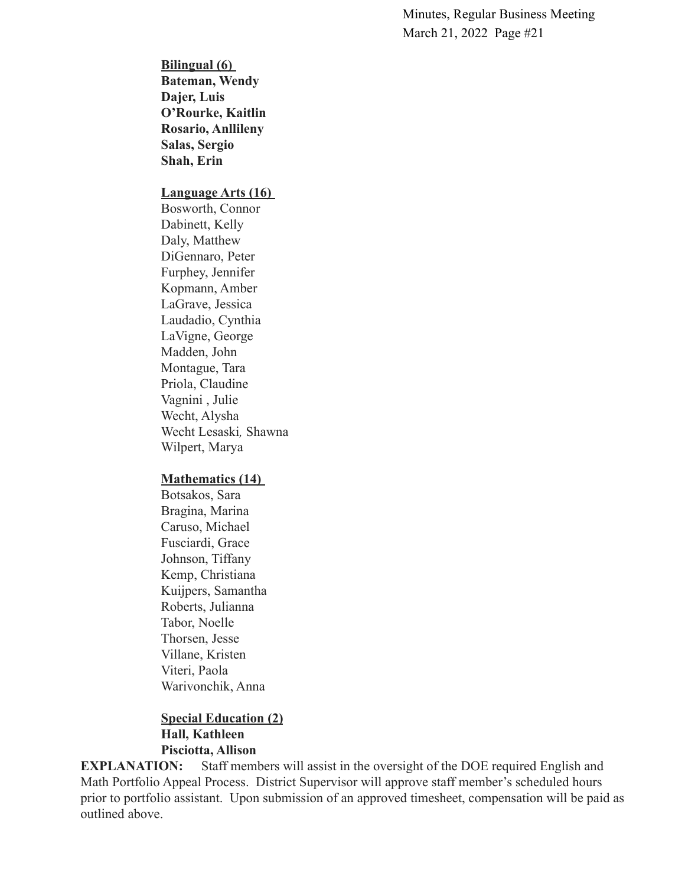**Bilingual (6) Bateman, Wendy Dajer, Luis O'Rourke, Kaitlin Rosario, Anllileny Salas, Sergio Shah, Erin**

#### **Language Arts (16)**

Bosworth, Connor Dabinett, Kelly Daly, Matthew DiGennaro, Peter Furphey, Jennifer Kopmann, Amber LaGrave, Jessica Laudadio, Cynthia LaVigne, George Madden, John Montague, Tara Priola, Claudine Vagnini , Julie Wecht, Alysha Wecht Lesaski*,* Shawna Wilpert, Marya

#### **Mathematics (14)**

Botsakos, Sara Bragina, Marina Caruso, Michael Fusciardi, Grace Johnson, Tiffany Kemp, Christiana Kuijpers, Samantha Roberts, Julianna Tabor, Noelle Thorsen, Jesse Villane, Kristen Viteri, Paola Warivonchik, Anna

### **Special Education (2) Hall, Kathleen Pisciotta, Allison**

**EXPLANATION:** Staff members will assist in the oversight of the DOE required English and Math Portfolio Appeal Process. District Supervisor will approve staff member's scheduled hours prior to portfolio assistant. Upon submission of an approved timesheet, compensation will be paid as outlined above.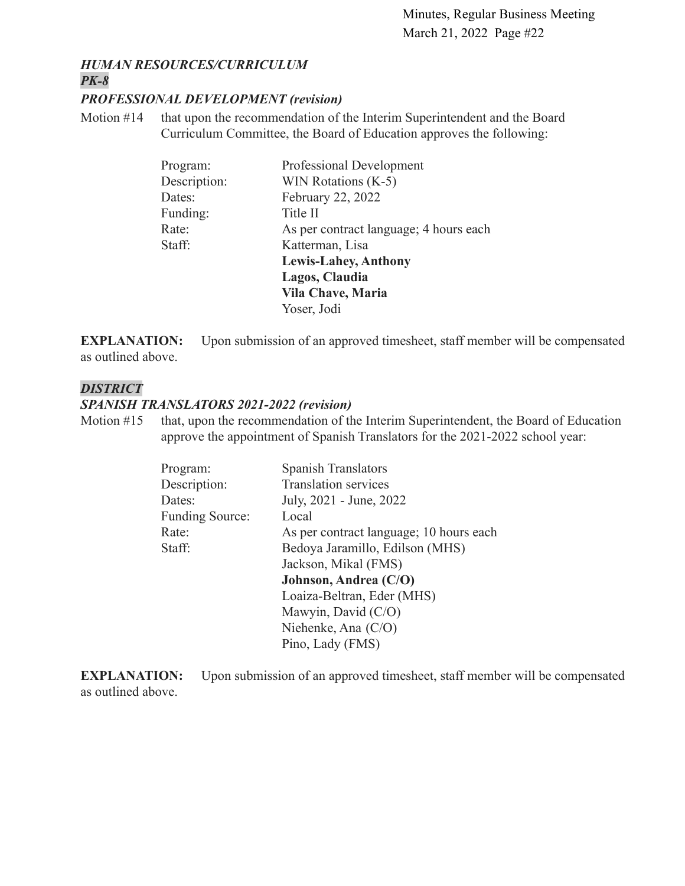#### *HUMAN RESOURCES/CURRICULUM PK-8*

#### *PROFESSIONAL DEVELOPMENT (revision)*

Motion #14 that upon the recommendation of the Interim Superintendent and the Board Curriculum Committee, the Board of Education approves the following:

| Professional Development               |
|----------------------------------------|
| WIN Rotations $(K-5)$                  |
| February 22, 2022                      |
| Title II                               |
| As per contract language; 4 hours each |
| Katterman, Lisa                        |
| <b>Lewis-Lahey, Anthony</b>            |
| Lagos, Claudia                         |
| Vila Chave, Maria                      |
| Yoser, Jodi                            |
|                                        |

**EXPLANATION:** Upon submission of an approved timesheet, staff member will be compensated as outlined above.

### *DISTRICT*

#### *SPANISH TRANSLATORS 2021-2022 (revision)*

Motion #15 that, upon the recommendation of the Interim Superintendent, the Board of Education approve the appointment of Spanish Translators for the 2021-2022 school year:

| Program:               | <b>Spanish Translators</b>              |
|------------------------|-----------------------------------------|
| Description:           | <b>Translation services</b>             |
| Dates:                 | July, 2021 - June, 2022                 |
| <b>Funding Source:</b> | Local                                   |
| Rate:                  | As per contract language; 10 hours each |
| Staff:                 | Bedoya Jaramillo, Edilson (MHS)         |
|                        | Jackson, Mikal (FMS)                    |
|                        | Johnson, Andrea (C/O)                   |
|                        | Loaiza-Beltran, Eder (MHS)              |
|                        | Mawyin, David (C/O)                     |
|                        | Niehenke, Ana $(C/O)$                   |
|                        | Pino, Lady (FMS)                        |

**EXPLANATION:** Upon submission of an approved timesheet, staff member will be compensated as outlined above.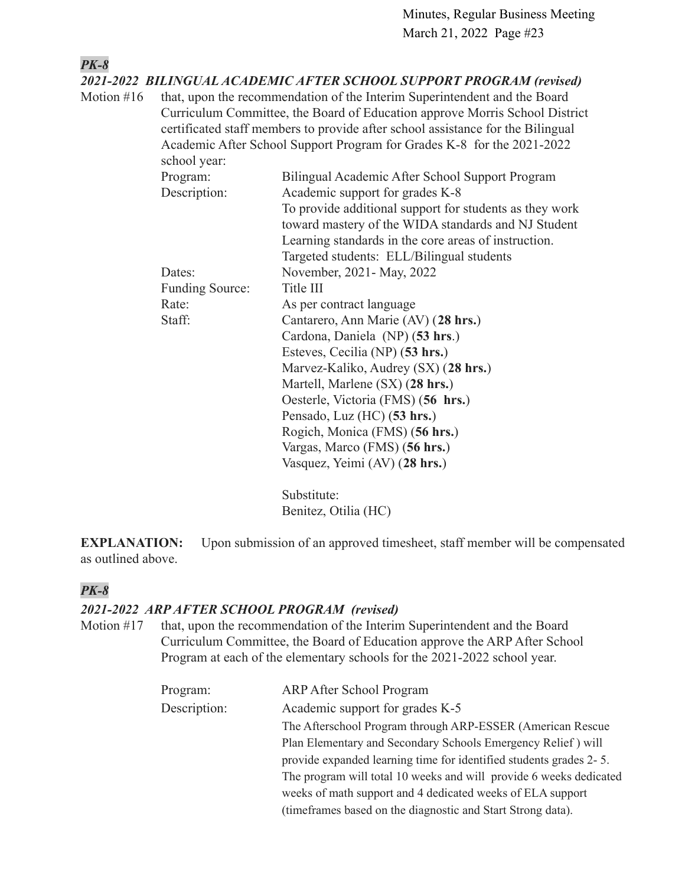*PK-8 2021-2022 BILINGUAL ACADEMIC AFTER SCHOOL SUPPORT PROGRAM (revised)* Motion #16 that, upon the recommendation of the Interim Superintendent and the Board Curriculum Committee, the Board of Education approve Morris School District certificated staff members to provide after school assistance for the Bilingual Academic After School Support Program for Grades K-8 for the 2021-2022 school year: Program: Bilingual Academic After School Support Program Description: Academic support for grades K-8 To provide additional support for students as they work toward mastery of the WIDA standards and NJ Student Learning standards in the core areas of instruction. Targeted students: ELL/Bilingual students Dates: November, 2021 - May, 2022 Funding Source: Title III Rate: As per contract language Staff: Cantarero, Ann Marie (AV) (**28 hrs.**) Cardona, Daniela (NP) (**53 hrs**.) Esteves, Cecilia (NP) (**53 hrs.**) Marvez-Kaliko, Audrey (SX) (**28 hrs.**) Martell, Marlene (SX) (**28 hrs.**) Oesterle, Victoria (FMS) (**56 hrs.**) Pensado, Luz (HC) (**53 hrs.**) Rogich, Monica (FMS) (**56 hrs.**) Vargas, Marco (FMS) (**56 hrs.**) Vasquez, Yeimi (AV) (**28 hrs.**) Substitute: Benitez, Otilia (HC)

**EXPLANATION:** Upon submission of an approved timesheet, staff member will be compensated as outlined above.

# *PK-8*

### *2021-2022 ARP AFTER SCHOOL PROGRAM (revised)*

Motion #17 that, upon the recommendation of the Interim Superintendent and the Board Curriculum Committee, the Board of Education approve the ARP After School Program at each of the elementary schools for the 2021-2022 school year.

| Program:     | ARP After School Program                                           |
|--------------|--------------------------------------------------------------------|
| Description: | Academic support for grades K-5                                    |
|              | The Afterschool Program through ARP-ESSER (American Rescue         |
|              | Plan Elementary and Secondary Schools Emergency Relief) will       |
|              | provide expanded learning time for identified students grades 2-5. |
|              | The program will total 10 weeks and will provide 6 weeks dedicated |
|              | weeks of math support and 4 dedicated weeks of ELA support         |
|              | (time frames based on the diagnostic and Start Strong data).       |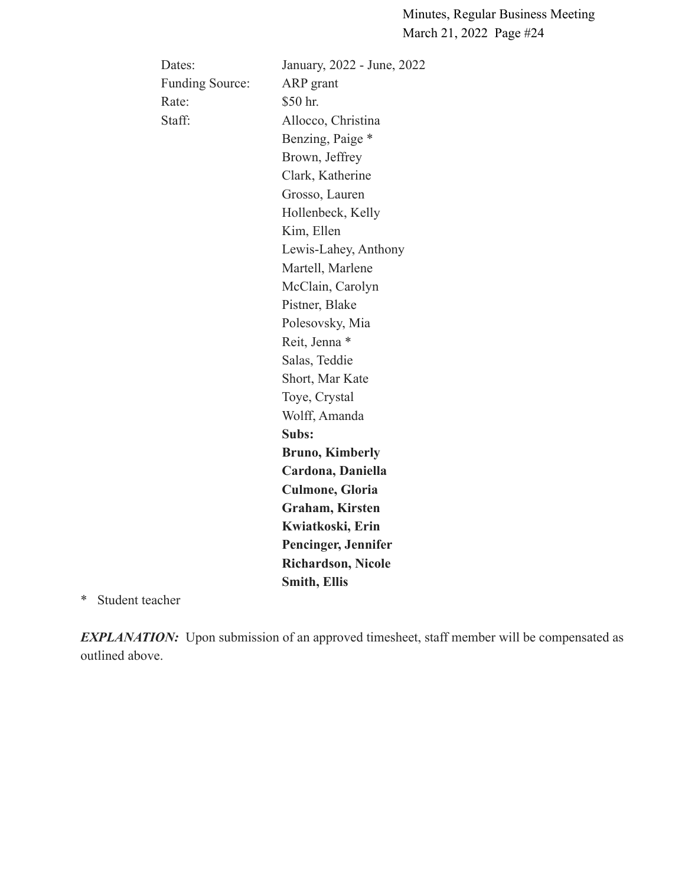| Dates:                 | January, 2022 - June, 2022 |
|------------------------|----------------------------|
| <b>Funding Source:</b> | ARP grant                  |
| Rate:                  | \$50 hr.                   |
| Staff:                 | Allocco, Christina         |
|                        | Benzing, Paige *           |
|                        | Brown, Jeffrey             |
|                        | Clark, Katherine           |
|                        | Grosso, Lauren             |
|                        | Hollenbeck, Kelly          |
|                        | Kim, Ellen                 |
|                        | Lewis-Lahey, Anthony       |
|                        | Martell, Marlene           |
|                        | McClain, Carolyn           |
|                        | Pistner, Blake             |
|                        | Polesovsky, Mia            |
|                        | Reit, Jenna *              |
|                        | Salas, Teddie              |
|                        | Short, Mar Kate            |
|                        | Toye, Crystal              |
|                        | Wolff, Amanda              |
|                        | Subs:                      |
|                        | <b>Bruno, Kimberly</b>     |
|                        | Cardona, Daniella          |
|                        | <b>Culmone, Gloria</b>     |
|                        | <b>Graham, Kirsten</b>     |
|                        | Kwiatkoski, Erin           |
|                        | Pencinger, Jennifer        |
|                        | <b>Richardson, Nicole</b>  |
|                        | <b>Smith, Ellis</b>        |
|                        |                            |

\* Student teacher

**EXPLANATION:** Upon submission of an approved timesheet, staff member will be compensated as outlined above.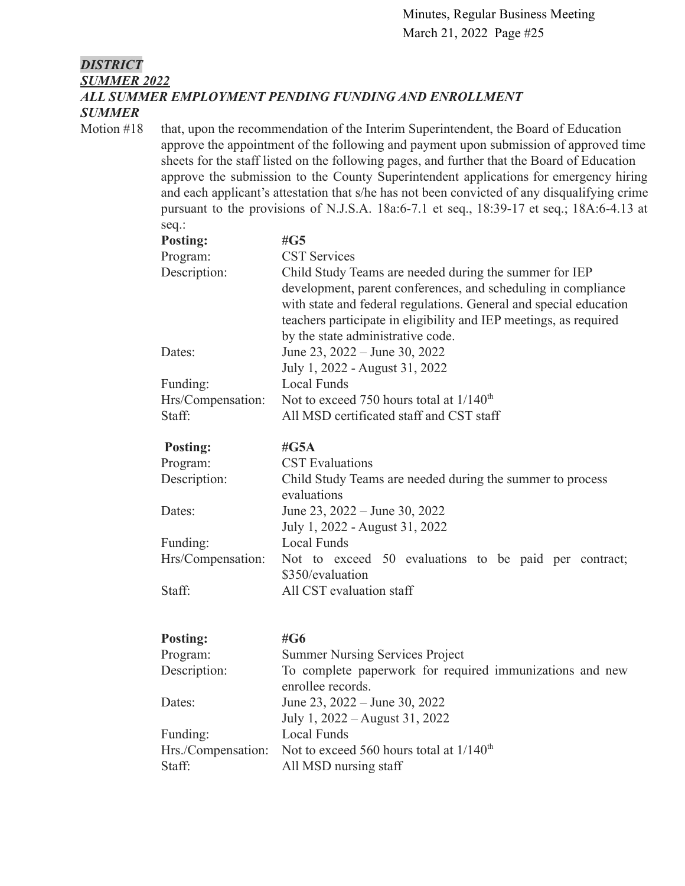# *DISTRICT SUMMER 2022 ALL SUMMER EMPLOYMENT PENDING FUNDING AND ENROLLMENT SUMMER*

Motion #18 that, upon the recommendation of the Interim Superintendent, the Board of Education approve the appointment of the following and payment upon submission of approved time sheets for the staff listed on the following pages, and further that the Board of Education approve the submission to the County Superintendent applications for emergency hiring and each applicant's attestation that s/he has not been convicted of any disqualifying crime pursuant to the provisions of N.J.S.A. 18a:6-7.1 et seq., 18:39-17 et seq.; 18A:6-4.13 at seq.:

| <b>Posting:</b>   | # $G5$                                                                                                                                                                                                                                                                                                 |
|-------------------|--------------------------------------------------------------------------------------------------------------------------------------------------------------------------------------------------------------------------------------------------------------------------------------------------------|
| Program:          | <b>CST Services</b>                                                                                                                                                                                                                                                                                    |
| Description:      | Child Study Teams are needed during the summer for IEP<br>development, parent conferences, and scheduling in compliance<br>with state and federal regulations. General and special education<br>teachers participate in eligibility and IEP meetings, as required<br>by the state administrative code. |
| Dates:            | June 23, $2022 -$ June 30, 2022<br>July 1, 2022 - August 31, 2022                                                                                                                                                                                                                                      |
| Funding:          | <b>Local Funds</b>                                                                                                                                                                                                                                                                                     |
| Hrs/Compensation: | Not to exceed 750 hours total at $1/140^{th}$                                                                                                                                                                                                                                                          |
| Staff:            | All MSD certificated staff and CST staff                                                                                                                                                                                                                                                               |
|                   |                                                                                                                                                                                                                                                                                                        |

| <b>Posting:</b>   | # $G5A$                                                                   |
|-------------------|---------------------------------------------------------------------------|
| Program:          | <b>CST</b> Evaluations                                                    |
| Description:      | Child Study Teams are needed during the summer to process<br>evaluations  |
| Dates:            | June 23, $2022 -$ June 30, 2022<br>July 1, 2022 - August 31, 2022         |
| Funding:          | Local Funds                                                               |
| Hrs/Compensation: | Not to exceed 50 evaluations to be paid per contract;<br>\$350/evaluation |
| Staff:            | All CST evaluation staff                                                  |

| <b>Posting:</b> | #G6                                                              |
|-----------------|------------------------------------------------------------------|
| Program:        | <b>Summer Nursing Services Project</b>                           |
| Description:    | To complete paperwork for required immunizations and new         |
|                 | enrollee records.                                                |
| Dates:          | June 23, $2022 -$ June 30, 2022                                  |
|                 | July 1, 2022 – August 31, 2022                                   |
| Funding:        | Local Funds                                                      |
|                 | Hrs./Compensation: Not to exceed 560 hours total at $1/140^{th}$ |
| Staff:          | All MSD nursing staff                                            |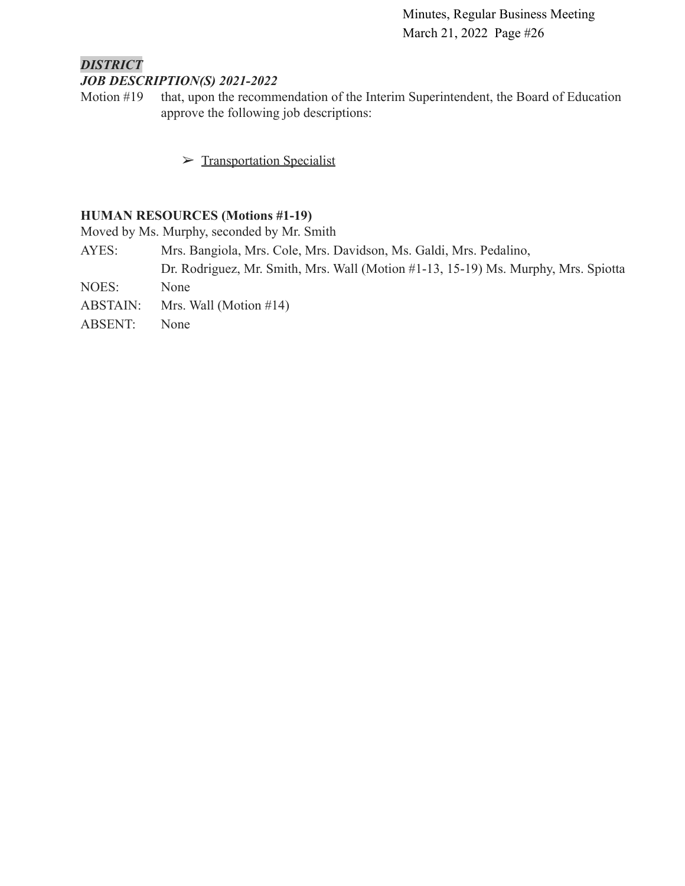### *DISTRICT JOB DESCRIPTION(S) 2021-2022*

Motion #19 that, upon the recommendation of the Interim Superintendent, the Board of Education approve the following job descriptions:

➢ [Transportation Specialist](https://drive.google.com/file/d/1dgX8OR5kmkPVOzBYWEva-OTSPnoD2wnD/view?usp=sharing)

### **HUMAN RESOURCES (Motions #1-19)**

Moved by Ms. Murphy, seconded by Mr. Smith

- AYES: Mrs. Bangiola, Mrs. Cole, Mrs. Davidson, Ms. Galdi, Mrs. Pedalino,
- Dr. Rodriguez, Mr. Smith, Mrs. Wall (Motion #1-13, 15-19) Ms. Murphy, Mrs. Spiotta NOES: None
- ABSTAIN: Mrs. Wall (Motion #14)
- ABSENT: None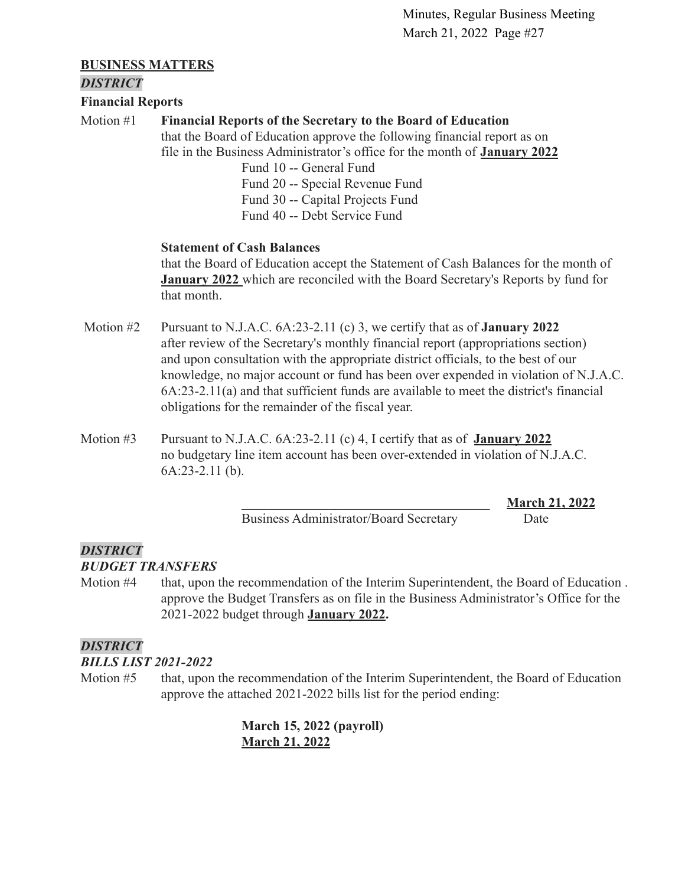### **BUSINESS MATTERS**

### *DISTRICT*

**Financial Reports**

## Motion #1 **Financial Reports of the Secretary to the Board of Education**

that the Board of Education approve the following financial report as on file in the Business Administrator's office for the month of **[January 2022](https://drive.google.com/file/d/1Y32llEyjAl7W5WsoEwkdu6d6Bj2qbE18/view?usp=sharing)**

> Fund 10 -- General Fund Fund 20 -- Special Revenue Fund Fund 30 -- Capital Projects Fund Fund 40 -- Debt Service Fund

### **Statement of Cash Balances**

that the Board of Education accept the Statement of Cash Balances for the month of **[January 2022](https://drive.google.com/file/d/1OHQ185gVxTkZQcxLpVJK17X78etHTV7z/view?usp=sharing)** which are reconciled with the Board Secretary's Reports by fund for that month.

- Motion #2 Pursuant to N.J.A.C. 6A:23-2.11 (c) 3, we certify that as of **January 2022** after review of the Secretary's monthly financial report (appropriations section) and upon consultation with the appropriate district officials, to the best of our knowledge, no major account or fund has been over expended in violation of N.J.A.C. 6A:23-2.11(a) and that sufficient funds are available to meet the district's financial obligations for the remainder of the fiscal year.
- Motion #3 Pursuant to N.J.A.C. 6A:23-2.11 (c) 4, I certify that as of **January 2022** no budgetary line item account has been over-extended in violation of N.J.A.C. 6A:23-2.11 (b).

Business Administrator/Board Secretary Date

\_\_\_\_\_\_\_\_\_\_\_\_\_\_\_\_\_\_\_\_\_\_\_\_\_\_\_\_\_\_\_\_\_\_\_\_\_ **March 21, 2022**

# *DISTRICT*

*BUDGET TRANSFERS*

Motion #4 that, upon the recommendation of the Interim Superintendent, the Board of Education . approve the Budget Transfers as on file in the Business Administrator's Office for the 2021-2022 budget through **[January 2022.](https://drive.google.com/file/d/1UHBwJn8FWB0f011ZkX9YyyH4tLbyLuKO/view?usp=sharing)**

# *DISTRICT*

# *BILLS LIST 2021-2022*

Motion #5 that, upon the recommendation of the Interim Superintendent, the Board of Education approve the attached 2021-2022 bills list for the period ending:

> **March 15, 2022 (payroll) [March 21, 2022](https://drive.google.com/file/d/1yJvq2di58xGe3d0esN7BmGhlt4hsCTkX/view?usp=sharing)**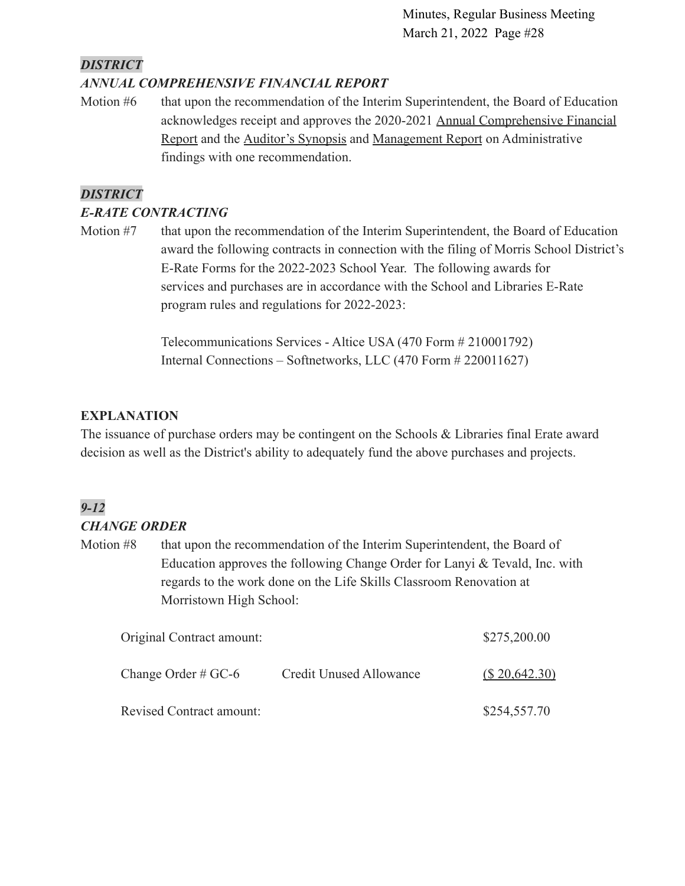# *DISTRICT*

# *ANNUAL COMPREHENSIVE FINANCIAL REPORT*

Motion #6 that upon the recommendation of the Interim Superintendent, the Board of Education acknowledges receipt and approves the 2020-2021 Annual [Comprehensive Financial](https://drive.google.com/file/d/1djbllXSRrao84hnbCWCv2jEljtwt56CT/view?usp=sharing) [Report](https://drive.google.com/file/d/1djbllXSRrao84hnbCWCv2jEljtwt56CT/view?usp=sharing) and the [Auditor's Synopsis](https://drive.google.com/file/d/1hbZKPfWGbvJphEzvLMeQh2qiN6go_B4V/view?usp=sharing) and [Management Report](https://drive.google.com/file/d/1mxcr04gO5yBroUFXcOReMkNNNTuP0KtH/view?usp=sharing) on Administrative findings with one recommendation.

# *DISTRICT*

## *E-RATE CONTRACTING*

Motion #7 that upon the recommendation of the Interim Superintendent, the Board of Education award the following contracts in connection with the filing of Morris School District's E-Rate Forms for the 2022-2023 School Year. The following awards for services and purchases are in accordance with the School and Libraries E-Rate program rules and regulations for 2022-2023:

> Telecommunications Services - Altice USA (470 Form # 210001792) Internal Connections – Softnetworks, LLC (470 Form # 220011627)

# **EXPLANATION**

The issuance of purchase orders may be contingent on the Schools & Libraries final Erate award decision as well as the District's ability to adequately fund the above purchases and projects.

# *9-12*

# *CHANGE ORDER*

Motion #8 that upon the recommendation of the Interim Superintendent, the Board of Education approves the following Change Order for Lanyi & Tevald, Inc. with regards to the work done on the Life Skills Classroom Renovation at Morristown High School:

| Original Contract amount: |                         | \$275,200.00   |
|---------------------------|-------------------------|----------------|
| Change Order # $GC-6$     | Credit Unused Allowance | (S.20, 642.30) |
| Revised Contract amount:  |                         | \$254,557.70   |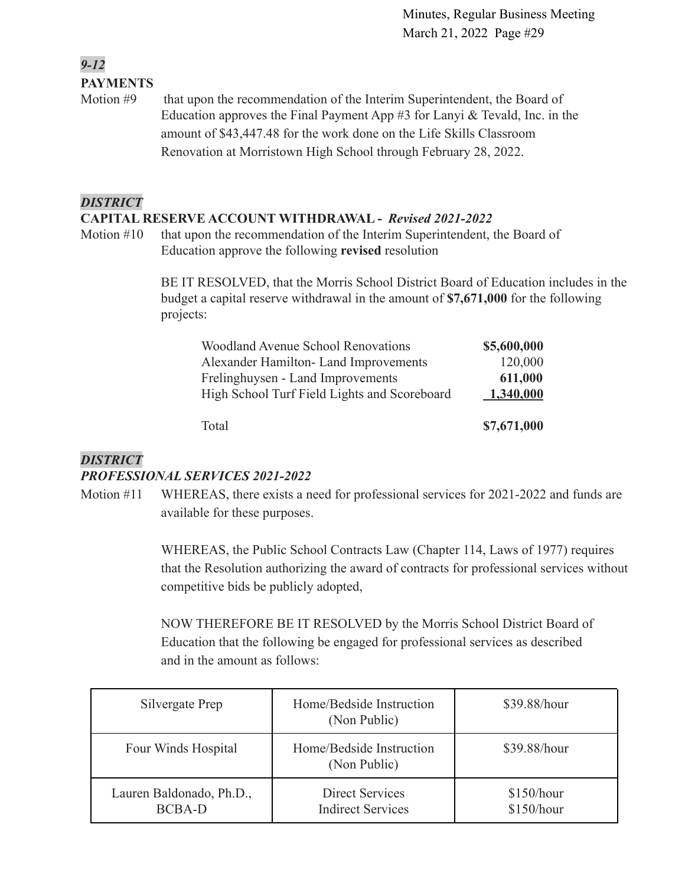# *9-12* **PAYMENTS**

Motion #9 that upon the recommendation of the Interim Superintendent, the Board of Education approves the Final Payment App #3 for Lanyi & Tevald, Inc. in the amount of \$43,447.48 for the work done on the Life Skills Classroom Renovation at Morristown High School through February 28, 2022.

### *DISTRICT*

### **CAPITAL RESERVE ACCOUNT WITHDRAWAL -** *Revised 2021-2022*

Motion #10 that upon the recommendation of the Interim Superintendent, the Board of Education approve the following **revised** resolution

> BE IT RESOLVED, that the Morris School District Board of Education includes in the budget a capital reserve withdrawal in the amount of **\$7,671,000** for the following projects:

| <b>Woodland Avenue School Renovations</b>    | \$5,600,000 |
|----------------------------------------------|-------------|
| Alexander Hamilton-Land Improvements         | 120,000     |
| Frelinghuysen - Land Improvements            | 611,000     |
| High School Turf Field Lights and Scoreboard | 1,340,000   |
| Total                                        | \$7,671,000 |
|                                              |             |

### *DISTRICT*

### *PROFESSIONAL SERVICES 2021-2022*

Motion #11 WHEREAS, there exists a need for professional services for 2021-2022 and funds are available for these purposes.

> WHEREAS, the Public School Contracts Law (Chapter 114, Laws of 1977) requires that the Resolution authorizing the award of contracts for professional services without competitive bids be publicly adopted,

NOW THEREFORE BE IT RESOLVED by the Morris School District Board of Education that the following be engaged for professional services as described and in the amount as follows:

| Silvergate Prep                           | Home/Bedside Instruction<br>(Non Public)           | \$39.88/hour             |
|-------------------------------------------|----------------------------------------------------|--------------------------|
| Four Winds Hospital                       | Home/Bedside Instruction<br>(Non Public)           | \$39.88/hour             |
| Lauren Baldonado, Ph.D.,<br><b>BCBA-D</b> | <b>Direct Services</b><br><b>Indirect Services</b> | \$150/hour<br>\$150/hour |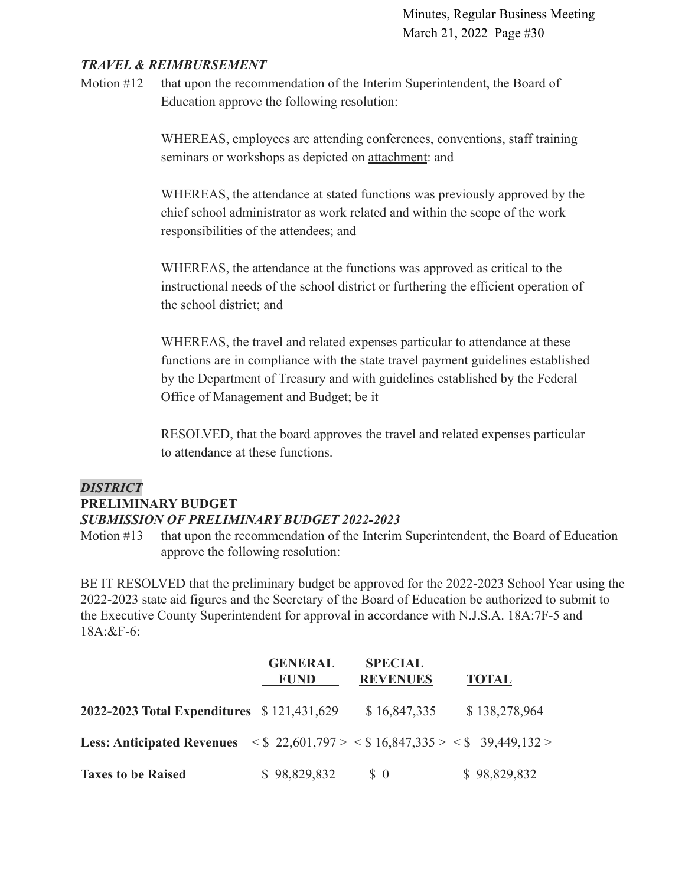### *TRAVEL & REIMBURSEMENT*

Motion #12 that upon the recommendation of the Interim Superintendent, the Board of Education approve the following resolution:

> WHEREAS, employees are attending conferences, conventions, staff training seminars or workshops as depicted on [attachment:](https://drive.google.com/file/d/1XMBa9boo26F8qLe2iXwe2hxl8XibO5O9/view?usp=sharing) and

WHEREAS, the attendance at stated functions was previously approved by the chief school administrator as work related and within the scope of the work responsibilities of the attendees; and

WHEREAS, the attendance at the functions was approved as critical to the instructional needs of the school district or furthering the efficient operation of the school district; and

WHEREAS, the travel and related expenses particular to attendance at these functions are in compliance with the state travel payment guidelines established by the Department of Treasury and with guidelines established by the Federal Office of Management and Budget; be it

RESOLVED, that the board approves the travel and related expenses particular to attendance at these functions.

### *DISTRICT*

### **PRELIMINARY BUDGET**

### *SUBMISSION OF PRELIMINARY BUDGET 2022-2023*

Motion #13 that upon the recommendation of the Interim Superintendent, the Board of Education approve the following resolution:

BE IT RESOLVED that the preliminary budget be approved for the 2022-2023 School Year using the 2022-2023 state aid figures and the Secretary of the Board of Education be authorized to submit to the Executive County Superintendent for approval in accordance with N.J.S.A. 18A:7F-5 and 18A:&F-6:

|                                                                                                                               | <b>GENERAL</b><br><b>FUND</b> | <b>SPECIAL</b><br><b>REVENUES</b> | <b>TOTAL</b>  |
|-------------------------------------------------------------------------------------------------------------------------------|-------------------------------|-----------------------------------|---------------|
| <b>2022-2023 Total Expenditures</b> \$121,431,629                                                                             |                               | \$16,847,335                      | \$138,278,964 |
| <b>Less: Anticipated Revenues</b> $\langle \$ 22,601,797 \rangle \langle \$ 16,847,335 \rangle \langle \$ 39,449,132 \rangle$ |                               |                                   |               |
| <b>Taxes to be Raised</b>                                                                                                     | \$98,829,832                  | $\delta$ 0                        | \$98,829,832  |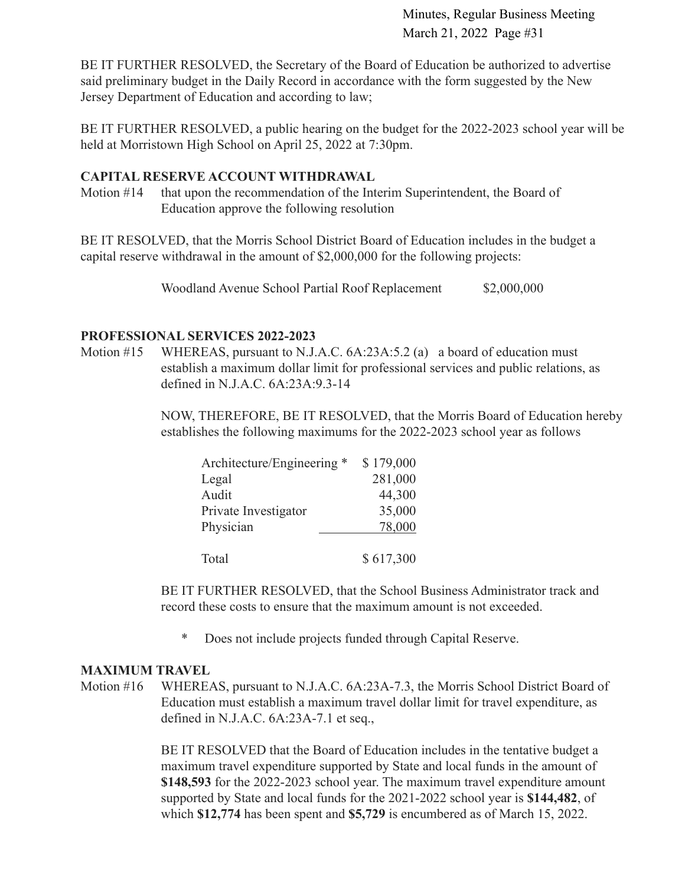BE IT FURTHER RESOLVED, the Secretary of the Board of Education be authorized to advertise said preliminary budget in the Daily Record in accordance with the form suggested by the New Jersey Department of Education and according to law;

BE IT FURTHER RESOLVED, a public hearing on the budget for the 2022-2023 school year will be held at Morristown High School on April 25, 2022 at 7:30pm.

### **CAPITAL RESERVE ACCOUNT WITHDRAWAL**

Motion #14 that upon the recommendation of the Interim Superintendent, the Board of Education approve the following resolution

BE IT RESOLVED, that the Morris School District Board of Education includes in the budget a capital reserve withdrawal in the amount of \$2,000,000 for the following projects:

Woodland Avenue School Partial Roof Replacement \$2,000,000

### **PROFESSIONAL SERVICES 2022-2023**

Motion #15 WHEREAS, pursuant to N.J.A.C. 6A:23A:5.2 (a) a board of education must establish a maximum dollar limit for professional services and public relations, as defined in N.J.A.C. 6A:23A:9.3-14

> NOW, THEREFORE, BE IT RESOLVED, that the Morris Board of Education hereby establishes the following maximums for the 2022-2023 school year as follows

| Architecture/Engineering * | \$179,000 |
|----------------------------|-----------|
| Legal                      | 281,000   |
| Audit                      | 44,300    |
| Private Investigator       | 35,000    |
| Physician                  | 78,000    |
|                            |           |
| Total                      | \$617,300 |

BE IT FURTHER RESOLVED, that the School Business Administrator track and record these costs to ensure that the maximum amount is not exceeded.

\* Does not include projects funded through Capital Reserve.

### **MAXIMUM TRAVEL**

Motion #16 WHEREAS, pursuant to N.J.A.C. 6A:23A-7.3, the Morris School District Board of Education must establish a maximum travel dollar limit for travel expenditure, as defined in N.J.A.C. 6A:23A-7.1 et seq.,

> BE IT RESOLVED that the Board of Education includes in the tentative budget a maximum travel expenditure supported by State and local funds in the amount of **\$148,593** for the 2022-2023 school year. The maximum travel expenditure amount supported by State and local funds for the 2021-2022 school year is **\$144,482**, of which **\$12,774** has been spent and **\$5,729** is encumbered as of March 15, 2022.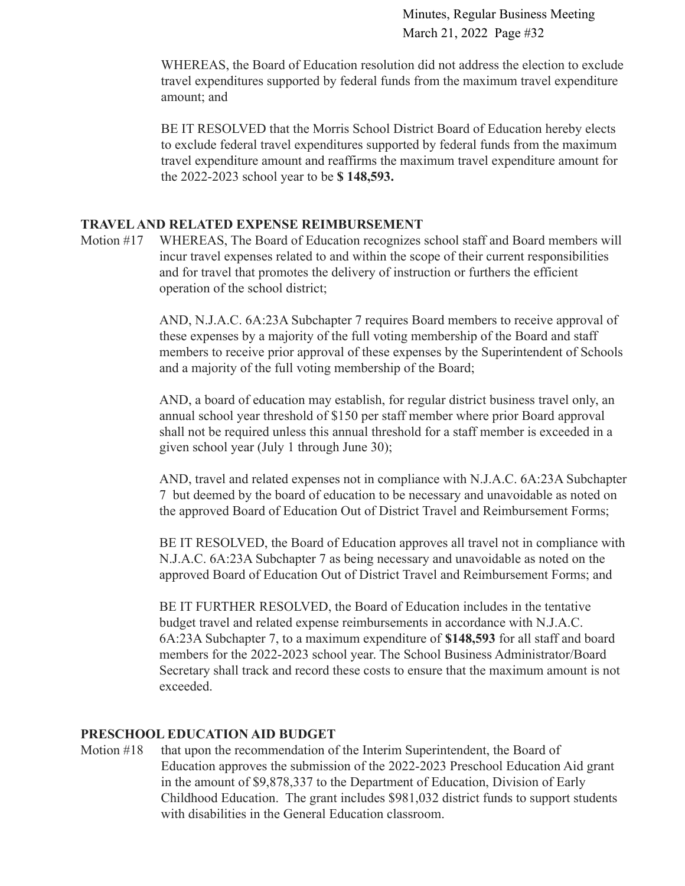WHEREAS, the Board of Education resolution did not address the election to exclude travel expenditures supported by federal funds from the maximum travel expenditure amount; and

BE IT RESOLVED that the Morris School District Board of Education hereby elects to exclude federal travel expenditures supported by federal funds from the maximum travel expenditure amount and reaffirms the maximum travel expenditure amount for the 2022-2023 school year to be **\$ 148,593.**

### **TRAVELAND RELATED EXPENSE REIMBURSEMENT**

Motion #17 WHEREAS, The Board of Education recognizes school staff and Board members will incur travel expenses related to and within the scope of their current responsibilities and for travel that promotes the delivery of instruction or furthers the efficient operation of the school district;

> AND, N.J.A.C. 6A:23A Subchapter 7 requires Board members to receive approval of these expenses by a majority of the full voting membership of the Board and staff members to receive prior approval of these expenses by the Superintendent of Schools and a majority of the full voting membership of the Board;

AND, a board of education may establish, for regular district business travel only, an annual school year threshold of \$150 per staff member where prior Board approval shall not be required unless this annual threshold for a staff member is exceeded in a given school year (July 1 through June 30);

AND, travel and related expenses not in compliance with N.J.A.C. 6A:23A Subchapter 7 but deemed by the board of education to be necessary and unavoidable as noted on the approved Board of Education Out of District Travel and Reimbursement Forms;

BE IT RESOLVED, the Board of Education approves all travel not in compliance with N.J.A.C. 6A:23A Subchapter 7 as being necessary and unavoidable as noted on the approved Board of Education Out of District Travel and Reimbursement Forms; and

BE IT FURTHER RESOLVED, the Board of Education includes in the tentative budget travel and related expense reimbursements in accordance with N.J.A.C. 6A:23A Subchapter 7, to a maximum expenditure of **\$148,593** for all staff and board members for the 2022-2023 school year. The School Business Administrator/Board Secretary shall track and record these costs to ensure that the maximum amount is not exceeded.

### **PRESCHOOL EDUCATION AID BUDGET**

Motion #18 that upon the recommendation of the Interim Superintendent, the Board of Education approves the submission of the 2022-2023 Preschool Education Aid grant in the amount of \$9,878,337 to the Department of Education, Division of Early Childhood Education. The grant includes \$981,032 district funds to support students with disabilities in the General Education classroom.